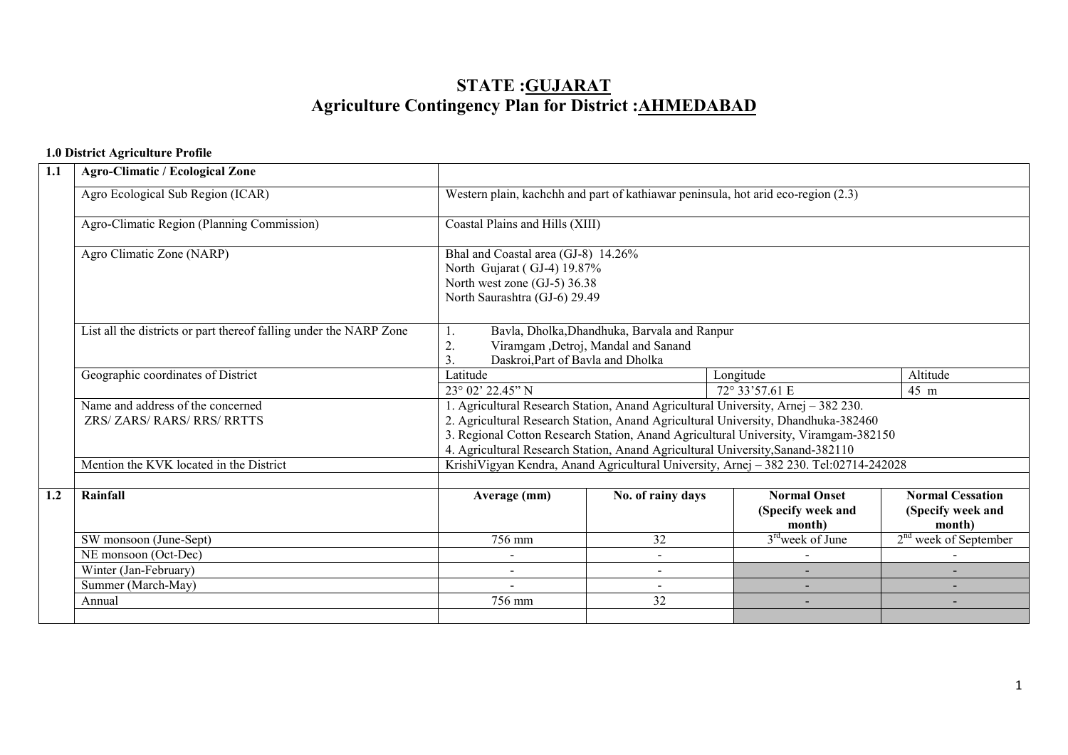# STATE :GUJARATAgriculture Contingency Plan for District :<u>AHMEDABAD</u>

## 1.0 District Agriculture Profile

| 1.1 | <b>Agro-Climatic / Ecological Zone</b>                             |                                                                                                                                                                                                                                                                                                                                                 |                   |                                                                                       |                                                        |  |  |  |  |
|-----|--------------------------------------------------------------------|-------------------------------------------------------------------------------------------------------------------------------------------------------------------------------------------------------------------------------------------------------------------------------------------------------------------------------------------------|-------------------|---------------------------------------------------------------------------------------|--------------------------------------------------------|--|--|--|--|
|     |                                                                    |                                                                                                                                                                                                                                                                                                                                                 |                   |                                                                                       |                                                        |  |  |  |  |
|     | Agro Ecological Sub Region (ICAR)                                  | Western plain, kachchh and part of kathiawar peninsula, hot arid eco-region (2.3)                                                                                                                                                                                                                                                               |                   |                                                                                       |                                                        |  |  |  |  |
|     | Agro-Climatic Region (Planning Commission)                         | Coastal Plains and Hills (XIII)                                                                                                                                                                                                                                                                                                                 |                   |                                                                                       |                                                        |  |  |  |  |
|     | Agro Climatic Zone (NARP)                                          | Bhal and Coastal area (GJ-8) 14.26%<br>North Gujarat (GJ-4) 19.87%<br>North west zone (GJ-5) 36.38<br>North Saurashtra (GJ-6) 29.49                                                                                                                                                                                                             |                   |                                                                                       |                                                        |  |  |  |  |
|     | List all the districts or part thereof falling under the NARP Zone | Bavla, Dholka, Dhandhuka, Barvala and Ranpur<br>1.<br>2.<br>Viramgam , Detroj, Mandal and Sanand<br>Daskroi, Part of Bavla and Dholka<br>$\overline{3}$ .                                                                                                                                                                                       |                   |                                                                                       |                                                        |  |  |  |  |
|     | Geographic coordinates of District                                 | Latitude                                                                                                                                                                                                                                                                                                                                        |                   | Longitude                                                                             | Altitude                                               |  |  |  |  |
|     |                                                                    | 23° 02' 22.45" N                                                                                                                                                                                                                                                                                                                                |                   | 72° 33' 57.61 E                                                                       | 45 m                                                   |  |  |  |  |
|     | Name and address of the concerned<br>ZRS/ ZARS/ RARS/ RRS/ RRTTS   | 1. Agricultural Research Station, Anand Agricultural University, Arnej - 382 230.<br>2. Agricultural Research Station, Anand Agricultural University, Dhandhuka-382460<br>3. Regional Cotton Research Station, Anand Agricultural University, Viramgam-382150<br>4. Agricultural Research Station, Anand Agricultural University, Sanand-382110 |                   |                                                                                       |                                                        |  |  |  |  |
|     | Mention the KVK located in the District                            |                                                                                                                                                                                                                                                                                                                                                 |                   | KrishiVigyan Kendra, Anand Agricultural University, Arnej - 382 230. Tel:02714-242028 |                                                        |  |  |  |  |
|     |                                                                    |                                                                                                                                                                                                                                                                                                                                                 |                   |                                                                                       |                                                        |  |  |  |  |
| 1.2 | Rainfall                                                           | Average (mm)                                                                                                                                                                                                                                                                                                                                    | No. of rainy days | <b>Normal Onset</b><br>(Specify week and<br>month)                                    | <b>Normal Cessation</b><br>(Specify week and<br>month) |  |  |  |  |
|     | SW monsoon (June-Sept)                                             | 756 mm                                                                                                                                                                                                                                                                                                                                          | 32                | 3 <sup>rd</sup> week of June                                                          | $2nd$ week of September                                |  |  |  |  |
|     | NE monsoon (Oct-Dec)                                               |                                                                                                                                                                                                                                                                                                                                                 | $\blacksquare$    |                                                                                       |                                                        |  |  |  |  |
|     | Winter (Jan-February)                                              |                                                                                                                                                                                                                                                                                                                                                 |                   |                                                                                       |                                                        |  |  |  |  |
|     | Summer (March-May)                                                 |                                                                                                                                                                                                                                                                                                                                                 |                   |                                                                                       |                                                        |  |  |  |  |
|     | Annual                                                             | 756 mm                                                                                                                                                                                                                                                                                                                                          | 32                |                                                                                       |                                                        |  |  |  |  |
|     |                                                                    |                                                                                                                                                                                                                                                                                                                                                 |                   |                                                                                       |                                                        |  |  |  |  |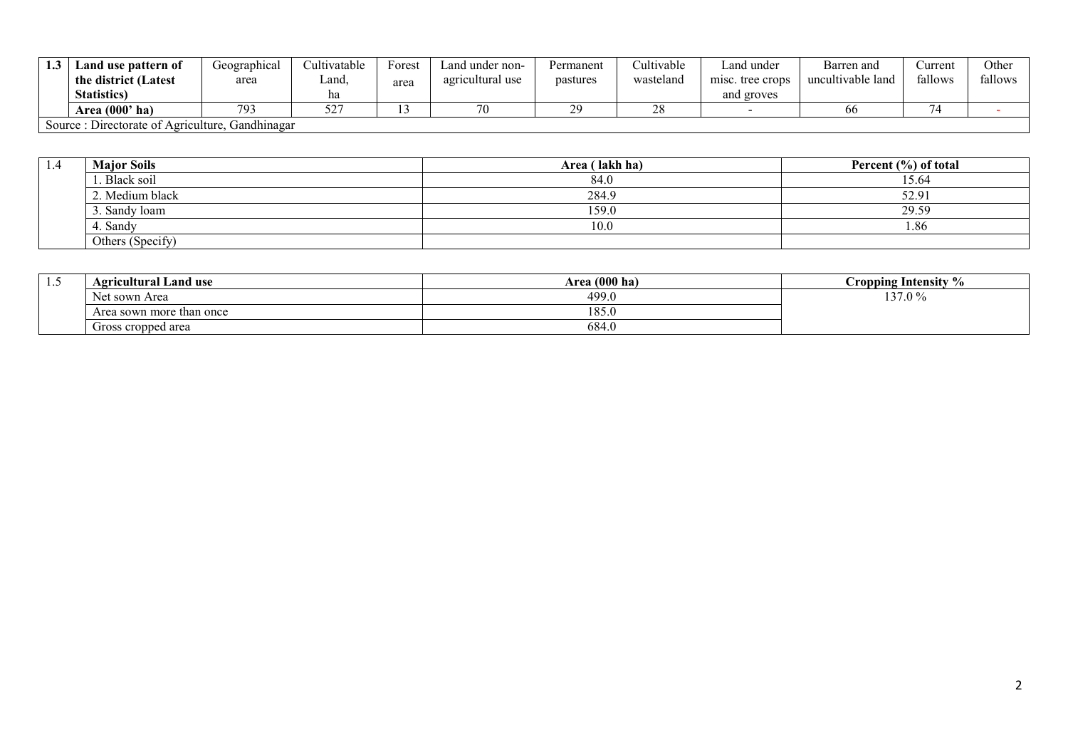| 1.3 | Land use pattern of                                  | Geographical | <i>L</i> ultivatable | Forest | Land under non-  | Permanent | Cultivable   | Land under       | Barren and        | `urrent | Other   |
|-----|------------------------------------------------------|--------------|----------------------|--------|------------------|-----------|--------------|------------------|-------------------|---------|---------|
|     | the district (Latest                                 | area         | Land.                | area   | agricultural use | pastures  | wasteland    | misc. tree crops | uncultivable land | fallows | fallows |
|     | <b>Statistics</b> )                                  |              | ha                   |        |                  |           |              | and groves       |                   |         |         |
|     | Area (000' ha)                                       | 793          | 527                  |        | 70               | 20<br>2.  | $\cap$<br>40 |                  | 66                | −.      |         |
|     | . Gandhinagar<br>Source: Directorate of Agriculture, |              |                      |        |                  |           |              |                  |                   |         |         |

| 1.4 | <b>Major Soils</b> | Area (lakh ha) | Percent (%) of total |
|-----|--------------------|----------------|----------------------|
|     | . Black soil       | 84.0           | 15.64                |
|     | 2. Medium black    | 284.9          | 52.9                 |
|     | 3. Sandy loam      | 159.0          | 29.59                |
|     | . Sandv            | 10.0           | 1.86                 |
|     | Others (Specify)   |                |                      |

| $\cdot\cdot$ | <b>Agricultural Land use</b> | Area (000 ha) | Cropping Intensity % |
|--------------|------------------------------|---------------|----------------------|
|              | Net sown Area                | 499.0         | 137.0%               |
|              | Area sown more than once     | 185.0         |                      |
|              | Gross cropped area           | 684.0         |                      |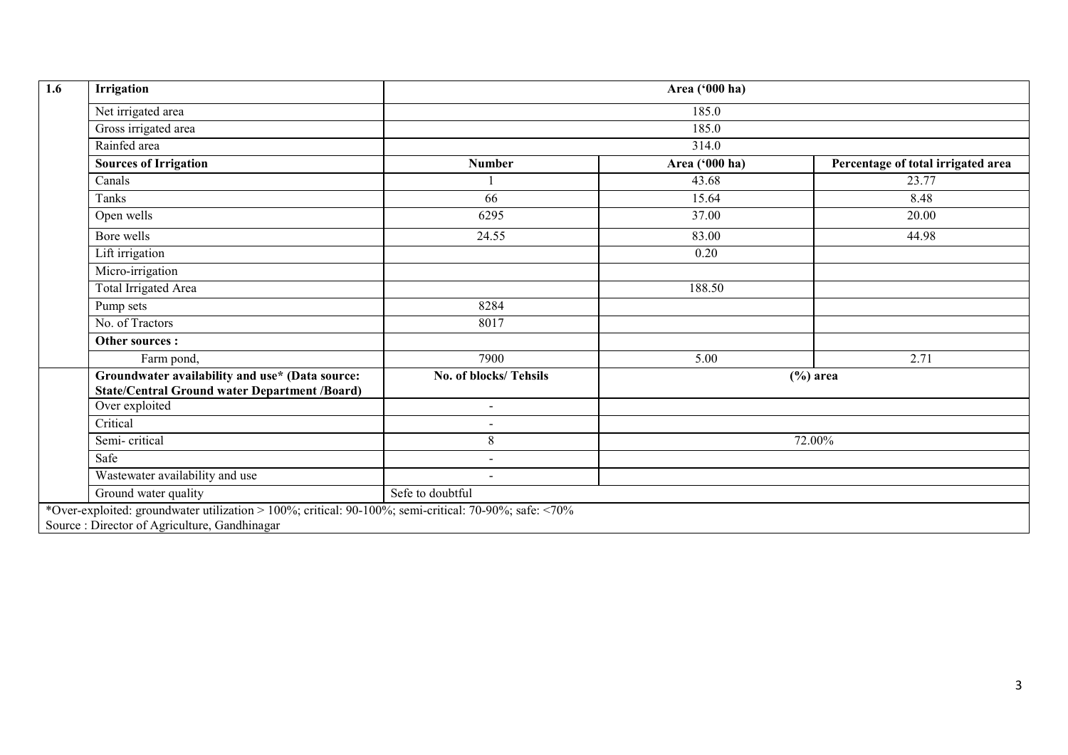| 1.6 | Irrigation                                                                                              | Area ('000 ha)           |                |                                    |  |  |  |  |
|-----|---------------------------------------------------------------------------------------------------------|--------------------------|----------------|------------------------------------|--|--|--|--|
|     | Net irrigated area                                                                                      |                          | 185.0          |                                    |  |  |  |  |
|     | Gross irrigated area                                                                                    | 185.0                    |                |                                    |  |  |  |  |
|     | Rainfed area                                                                                            | 314.0                    |                |                                    |  |  |  |  |
|     | <b>Sources of Irrigation</b>                                                                            | <b>Number</b>            | Area ('000 ha) | Percentage of total irrigated area |  |  |  |  |
|     | Canals                                                                                                  |                          | 43.68          | 23.77                              |  |  |  |  |
|     | Tanks                                                                                                   | 66                       | 15.64          | 8.48                               |  |  |  |  |
|     | Open wells                                                                                              | 6295                     | 37.00          | 20.00                              |  |  |  |  |
|     | Bore wells                                                                                              | 24.55                    | 83.00          | 44.98                              |  |  |  |  |
|     | Lift irrigation                                                                                         |                          | 0.20           |                                    |  |  |  |  |
|     | Micro-irrigation                                                                                        |                          |                |                                    |  |  |  |  |
|     | <b>Total Irrigated Area</b>                                                                             |                          | 188.50         |                                    |  |  |  |  |
|     | Pump sets                                                                                               | 8284                     |                |                                    |  |  |  |  |
|     | No. of Tractors                                                                                         | 8017                     |                |                                    |  |  |  |  |
|     | Other sources :                                                                                         |                          |                |                                    |  |  |  |  |
|     | Farm pond,                                                                                              | 7900                     | 5.00           | 2.71                               |  |  |  |  |
|     | Groundwater availability and use* (Data source:<br><b>State/Central Ground water Department /Board)</b> | No. of blocks/Tehsils    |                | $(\% )$ area                       |  |  |  |  |
|     | Over exploited                                                                                          | $\blacksquare$           |                |                                    |  |  |  |  |
|     | Critical                                                                                                | $\overline{\phantom{0}}$ |                |                                    |  |  |  |  |
|     | Semi-critical                                                                                           | $8\,$                    |                | 72.00%                             |  |  |  |  |
|     | Safe                                                                                                    | $\sim$                   |                |                                    |  |  |  |  |
|     | Wastewater availability and use                                                                         | $\overline{\phantom{a}}$ |                |                                    |  |  |  |  |
|     | Ground water quality                                                                                    | Sefe to doubtful         |                |                                    |  |  |  |  |
|     | *Over-exploited: groundwater utilization > 100%; critical: 90-100%; semi-critical: 70-90%; safe: <70%   |                          |                |                                    |  |  |  |  |
|     | Source : Director of Agriculture, Gandhinagar                                                           |                          |                |                                    |  |  |  |  |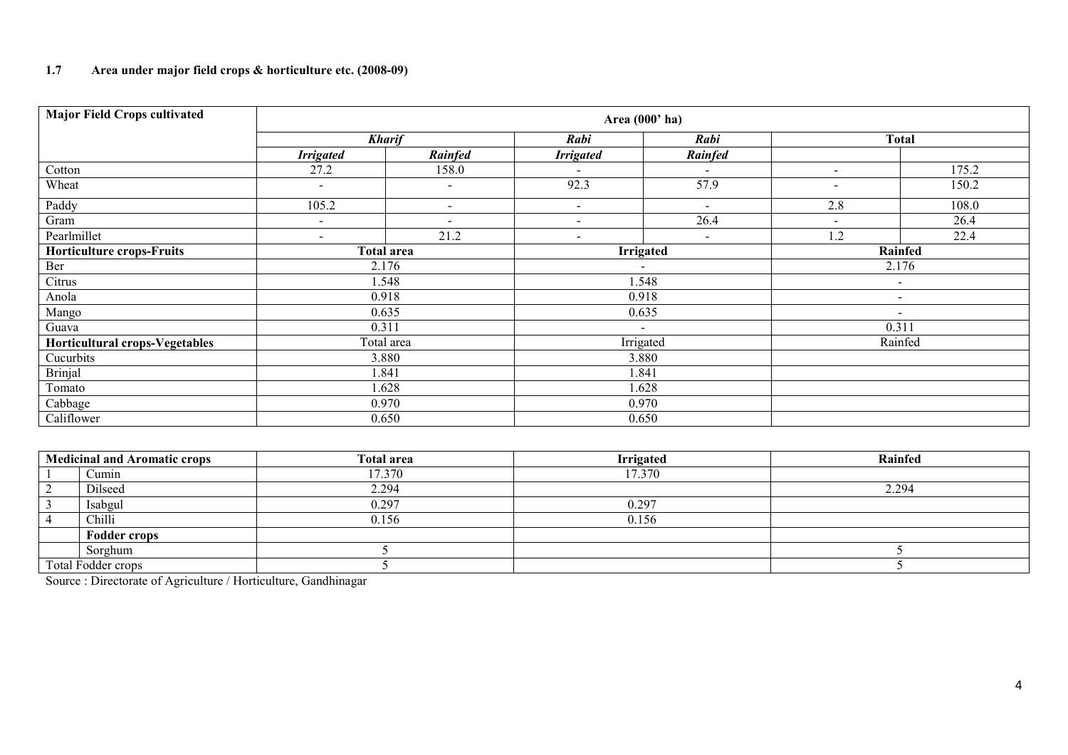## 1.7 Area under major field crops & horticulture etc. (2008-09)

| <b>Major Field Crops cultivated</b> |                          |                          |                          | Area (000' ha)           |                          |         |
|-------------------------------------|--------------------------|--------------------------|--------------------------|--------------------------|--------------------------|---------|
|                                     | <b>Kharif</b>            |                          | Rabi                     | Rabi                     | <b>Total</b>             |         |
|                                     | <b>Irrigated</b>         | Rainfed                  | <b>Irrigated</b>         | Rainfed                  |                          |         |
| Cotton                              | 27.2                     | 158.0                    | $\overline{\phantom{a}}$ | $\overline{\phantom{a}}$ | $\overline{\phantom{a}}$ | 175.2   |
| Wheat                               | $\blacksquare$           | $\overline{\phantom{a}}$ | 92.3                     | 57.9                     | $\overline{\phantom{a}}$ | 150.2   |
| Paddy                               | 105.2                    | $\sim$                   | $\sim$                   | $\blacksquare$           | 2.8                      | 108.0   |
| Gram                                | $\overline{\phantom{a}}$ | $\overline{\phantom{a}}$ | $\sim$                   | 26.4                     | $\overline{\phantom{a}}$ | 26.4    |
| Pearlmillet                         | $\blacksquare$           | 21.2                     | $\overline{\phantom{a}}$ | $\blacksquare$           | 1.2                      | 22.4    |
| Horticulture crops-Fruits           | <b>Total area</b>        |                          | <b>Irrigated</b>         |                          |                          | Rainfed |
| Ber                                 | 2.176                    |                          |                          |                          | 2.176                    |         |
| Citrus                              | 1.548                    |                          | 1.548                    |                          | $\sim$                   |         |
| Anola                               | 0.918                    |                          | 0.918                    |                          | $\overline{\phantom{a}}$ |         |
| Mango                               | 0.635                    |                          |                          | 0.635                    | $\sim$                   |         |
| Guava                               | 0.311                    |                          |                          | $\blacksquare$           |                          | 0.311   |
| Horticultural crops-Vegetables      | Total area               |                          |                          | Irrigated                |                          | Rainfed |
| Cucurbits                           | 3.880                    |                          |                          | 3.880                    |                          |         |
| <b>Brinjal</b>                      | .841                     |                          | 1.841                    |                          |                          |         |
| Tomato                              | 1.628                    |                          | 1.628                    |                          |                          |         |
| Cabbage                             | 0.970                    |                          | 0.970                    |                          |                          |         |
| Califlower                          | 0.650                    |                          |                          | 0.650                    |                          |         |

| <b>Medicinal and Aromatic crops</b> |                     | <b>Total area</b> | <b>Irrigated</b> | Rainfed |
|-------------------------------------|---------------------|-------------------|------------------|---------|
|                                     | Cumin               | 17.370            | 17.370           |         |
|                                     | Dilseed             | 2.294             |                  | 2.294   |
|                                     | Isabgul             | 0.297             | 0.297            |         |
|                                     | Chilli              | 0.156             | 0.156            |         |
|                                     | <b>Fodder crops</b> |                   |                  |         |
|                                     | Sorghum             |                   |                  |         |
|                                     | Total Fodder crops  |                   |                  |         |

Source : Directorate of Agriculture / Horticulture, Gandhinagar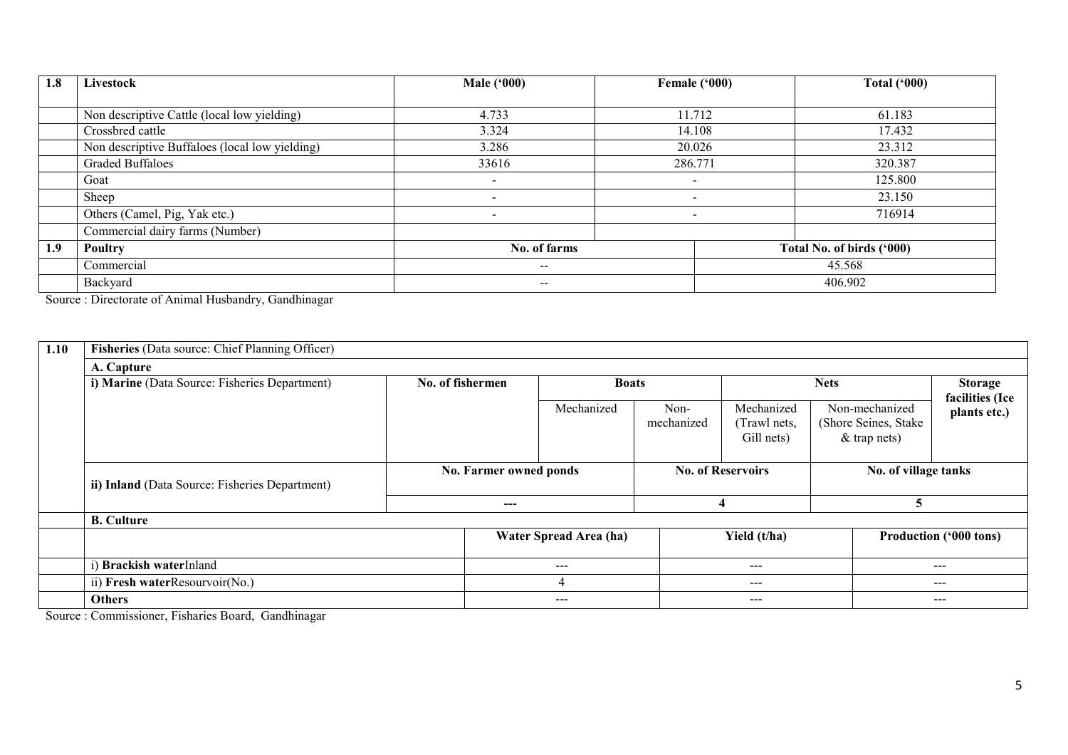| 1.8 | Livestock                                      | <b>Male ('000)</b>                             | Female ('000)            | <b>Total ('000)</b>       |  |
|-----|------------------------------------------------|------------------------------------------------|--------------------------|---------------------------|--|
|     |                                                |                                                |                          |                           |  |
|     | Non descriptive Cattle (local low yielding)    | 4.733                                          | 11.712                   | 61.183                    |  |
|     | Crossbred cattle                               | 3.324                                          | 14.108                   | 17.432                    |  |
|     | Non descriptive Buffaloes (local low yielding) | 3.286                                          | 20.026                   | 23.312                    |  |
|     | <b>Graded Buffaloes</b>                        | 33616                                          | 286.771                  | 320.387                   |  |
|     | Goat                                           | $\overline{\phantom{0}}$                       | -                        | 125.800                   |  |
|     | Sheep                                          | $\overline{\phantom{a}}$                       | $\overline{\phantom{a}}$ | 23.150                    |  |
|     | Others (Camel, Pig, Yak etc.)                  | $\overline{\phantom{a}}$                       | $\overline{\phantom{a}}$ | 716914                    |  |
|     | Commercial dairy farms (Number)                |                                                |                          |                           |  |
| 1.9 | <b>Poultry</b>                                 | No. of farms                                   |                          | Total No. of birds ('000) |  |
|     | Commercial                                     | $\hspace{0.1mm}-\hspace{0.1mm}-\hspace{0.1mm}$ |                          | 45.568                    |  |
|     | Backyard                                       | $\overline{\phantom{m}}$                       |                          | 406.902                   |  |

Source : Directorate of Animal Husbandry, Gandhinagar

| 1.10 | Fisheries (Data source: Chief Planning Officer) |                  |                        |                        |                          |                                          |                                                           |                                   |  |  |  |  |
|------|-------------------------------------------------|------------------|------------------------|------------------------|--------------------------|------------------------------------------|-----------------------------------------------------------|-----------------------------------|--|--|--|--|
|      | A. Capture                                      |                  |                        |                        |                          |                                          |                                                           |                                   |  |  |  |  |
|      | i) Marine (Data Source: Fisheries Department)   | No. of fishermen | <b>Boats</b>           |                        |                          | <b>Nets</b>                              |                                                           | <b>Storage</b><br>facilities (Ice |  |  |  |  |
|      |                                                 |                  |                        | Mechanized             | Non-<br>mechanized       | Mechanized<br>(Trawl nets,<br>Gill nets) | Non-mechanized<br>(Shore Seines, Stake)<br>$&$ trap nets) | plants etc.)                      |  |  |  |  |
|      | ii) Inland (Data Source: Fisheries Department)  |                  | No. Farmer owned ponds |                        | <b>No. of Reservoirs</b> |                                          | No. of village tanks                                      |                                   |  |  |  |  |
|      |                                                 |                  | ---                    |                        | 4                        |                                          | 5                                                         |                                   |  |  |  |  |
|      | <b>B.</b> Culture                               |                  |                        |                        |                          |                                          |                                                           |                                   |  |  |  |  |
|      |                                                 |                  | Water Spread Area (ha) |                        |                          | Yield (t/ha)                             | <b>Production ('000 tons)</b>                             |                                   |  |  |  |  |
|      | <b>Brackish waterInland</b>                     |                  |                        | $\qquad \qquad \cdots$ |                          | $\qquad \qquad - -$                      |                                                           | $---$                             |  |  |  |  |
|      | ii) Fresh waterResourvoir(No.)                  |                  | 4                      |                        |                          | $---$                                    |                                                           | $---$                             |  |  |  |  |
|      | <b>Others</b>                                   |                  |                        | $\qquad \qquad \cdots$ |                          | ---                                      |                                                           | $- - -$                           |  |  |  |  |

Source : Commissioner, Fisharies Board, Gandhinagar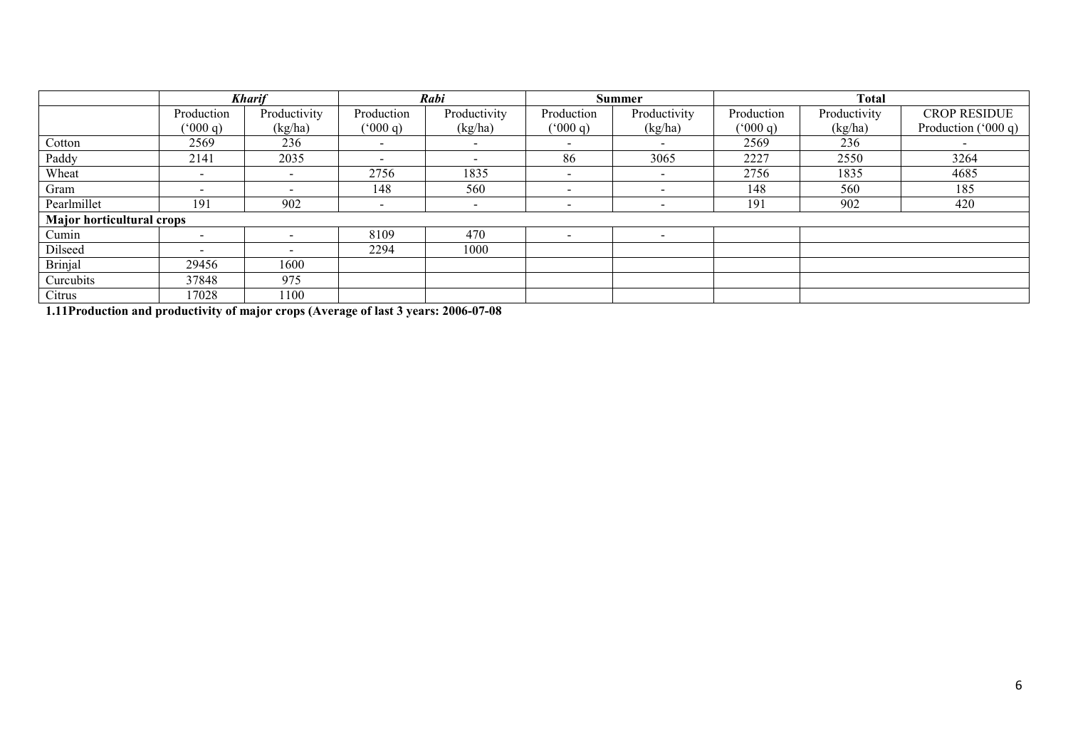|                                  | <b>Kharif</b>            |                          | Rabi                     |                | <b>Summer</b>            |                          | <b>Total</b> |              |                      |
|----------------------------------|--------------------------|--------------------------|--------------------------|----------------|--------------------------|--------------------------|--------------|--------------|----------------------|
|                                  | Production               | Productivity             | Production               | Productivity   | Production               | Productivity             | Production   | Productivity | <b>CROP RESIDUE</b>  |
|                                  | (900 q)                  | (kg/ha)                  | (9000)                   | (kg/ha)        | (900 q)                  | (kg/ha)                  | (9000)       | (kg/ha)      | Production $(000 q)$ |
| Cotton                           | 2569                     | 236                      |                          |                | $\overline{\phantom{0}}$ |                          | 2569         | 236          |                      |
| Paddy                            | 2141                     | 2035                     |                          |                | 86                       | 3065                     | 2227         | 2550         | 3264                 |
| Wheat                            | $\overline{\phantom{0}}$ | $\overline{\phantom{a}}$ | 2756                     | 1835           | $\overline{\phantom{a}}$ | $\overline{\phantom{a}}$ | 2756         | 1835         | 4685                 |
| Gram                             | $\overline{\phantom{0}}$ | $\overline{\phantom{0}}$ | 148                      | 560            | $\overline{\phantom{0}}$ | -                        | 148          | 560          | 185                  |
| Pearlmillet                      | 191                      | 902                      | $\overline{\phantom{a}}$ | $\blacksquare$ |                          |                          | 191          | 902          | 420                  |
| <b>Major horticultural crops</b> |                          |                          |                          |                |                          |                          |              |              |                      |
| Cumin                            | $\overline{\phantom{a}}$ |                          | 8109                     | 470            |                          | -                        |              |              |                      |
| Dilseed                          | $\overline{\phantom{0}}$ |                          | 2294                     | 1000           |                          |                          |              |              |                      |
| <b>Brinjal</b>                   | 29456                    | 1600                     |                          |                |                          |                          |              |              |                      |
| Curcubits                        | 37848                    | 975                      |                          |                |                          |                          |              |              |                      |
| Citrus                           | 17028                    | 1100                     |                          |                |                          |                          |              |              |                      |

1.11Production and productivity of major crops (Average of last 3 years: 2006-07-08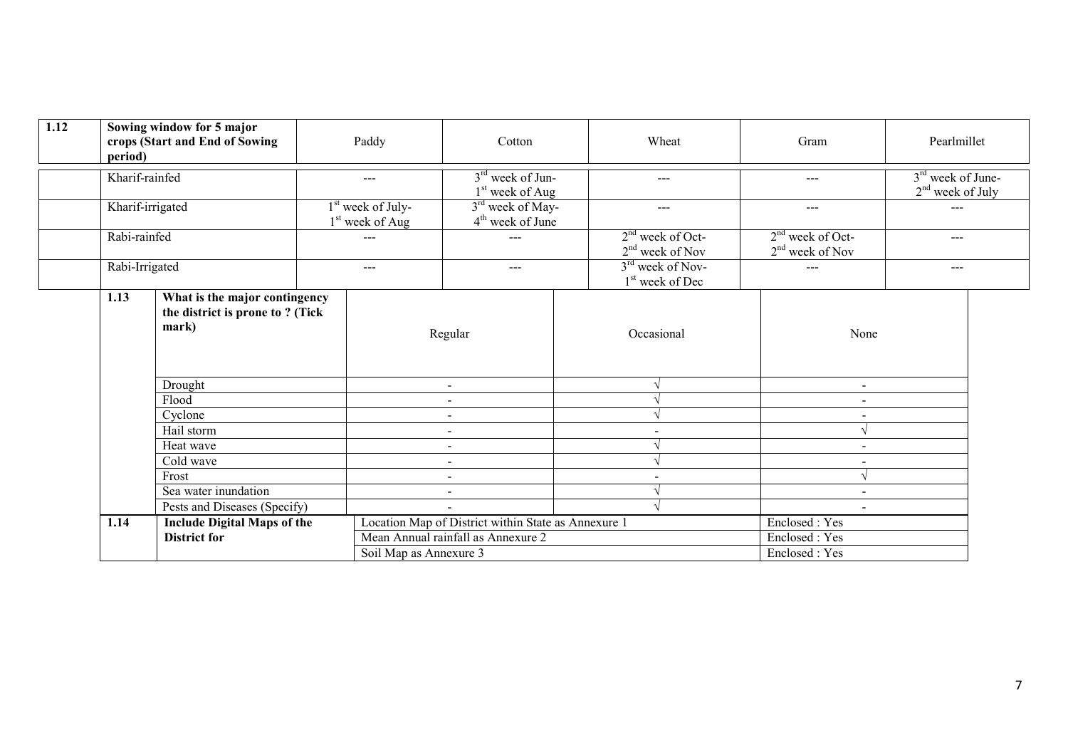| 1.12 | period)                                            | Sowing window for 5 major<br>crops (Start and End of Sowing                       |  | Paddy                                              | Cotton                                              |  | Wheat                                                       | Gram                                    | Pearlmillet                               |  |
|------|----------------------------------------------------|-----------------------------------------------------------------------------------|--|----------------------------------------------------|-----------------------------------------------------|--|-------------------------------------------------------------|-----------------------------------------|-------------------------------------------|--|
|      |                                                    | Kharif-rainfed                                                                    |  | $---$                                              | $3rd$ week of Jun-<br>$1st$ week of Aug             |  | $---$                                                       | $---$                                   | $3rd$ week of June-<br>$2nd$ week of July |  |
|      | Kharif-irrigated<br>Rabi-rainfed<br>Rabi-Irrigated |                                                                                   |  | $1st$ week of July-<br>1 <sup>st</sup> week of Aug | 3 <sup>rd</sup> week of May-<br>$4th$ week of June  |  | $---$                                                       | $---$                                   | ---                                       |  |
|      |                                                    |                                                                                   |  | ---                                                | $---$                                               |  | $2nd$ week of Oct-<br>$2nd$ week of Nov                     | $2nd$ week of Oct-<br>$2nd$ week of Nov | $---$                                     |  |
|      |                                                    |                                                                                   |  | $---$                                              | $\qquad \qquad -$                                   |  | 3 <sup>rd</sup> week of Nov-<br>1 <sup>st</sup> week of Dec | ---                                     | $---$                                     |  |
|      |                                                    | 1.13<br>What is the major contingency<br>the district is prone to? (Tick<br>mark) |  | Regular                                            |                                                     |  | Occasional                                                  | None                                    |                                           |  |
|      |                                                    | Drought                                                                           |  |                                                    | $\sim$                                              |  |                                                             | $\blacksquare$                          |                                           |  |
|      |                                                    | Flood                                                                             |  |                                                    |                                                     |  |                                                             |                                         |                                           |  |
|      |                                                    | Cyclone                                                                           |  |                                                    | $\sim$                                              |  | $\sim$                                                      |                                         |                                           |  |
|      |                                                    | Hail storm                                                                        |  |                                                    |                                                     |  |                                                             |                                         |                                           |  |
|      |                                                    | Heat wave                                                                         |  |                                                    | $\blacksquare$                                      |  |                                                             | $\sim$                                  |                                           |  |
|      |                                                    | Cold wave                                                                         |  |                                                    | $\sim$                                              |  |                                                             | $\sim$                                  |                                           |  |
|      |                                                    | Frost                                                                             |  |                                                    | $\sim$                                              |  | $\blacksquare$                                              |                                         |                                           |  |
|      | Sea water inundation                               |                                                                                   |  |                                                    | $\sim$                                              |  |                                                             | $\sim$                                  |                                           |  |
|      |                                                    | Pests and Diseases (Specify)                                                      |  |                                                    |                                                     |  |                                                             | $\sim$                                  |                                           |  |
|      | 1.14                                               | <b>Include Digital Maps of the</b>                                                |  |                                                    | Location Map of District within State as Annexure 1 |  |                                                             | Enclosed : Yes                          |                                           |  |
|      |                                                    | <b>District for</b>                                                               |  |                                                    | Mean Annual rainfall as Annexure 2                  |  |                                                             | Enclosed: Yes                           |                                           |  |
|      |                                                    |                                                                                   |  | Soil Map as Annexure 3                             |                                                     |  |                                                             | Enclosed: Yes                           |                                           |  |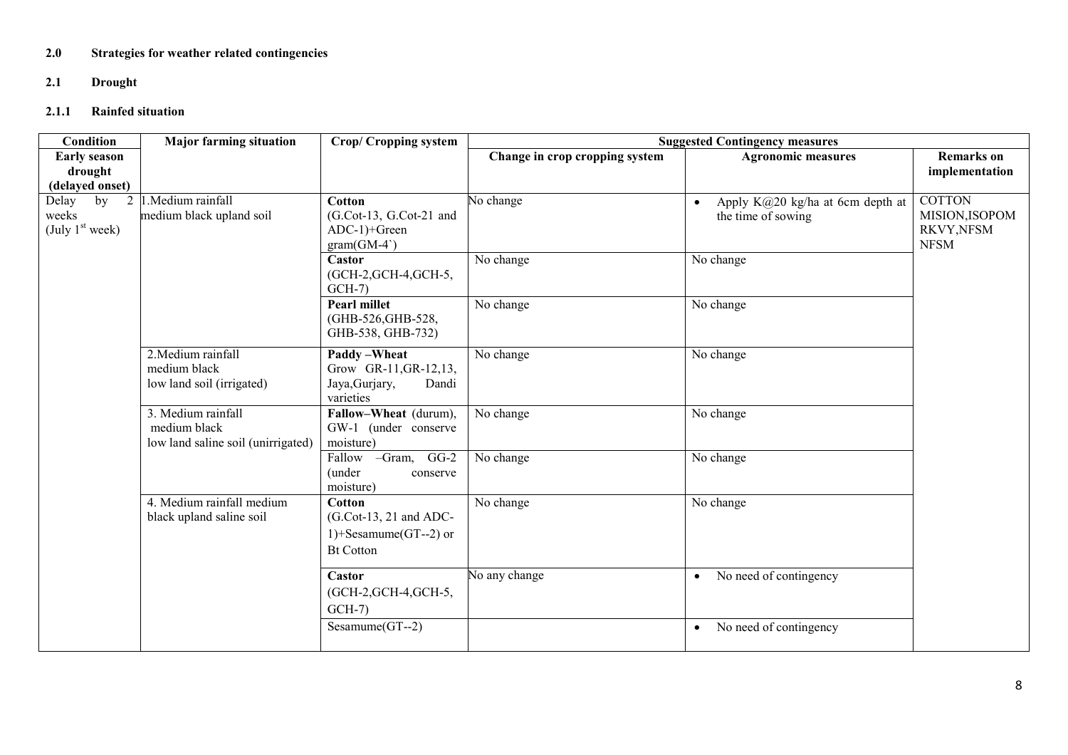# 2.0 Strategies for weather related contingencies

## 2.1 Drought

## 2.1.1 Rainfed situation

| Condition                                                | <b>Major farming situation</b>                                           | Crop/ Cropping system                                                                    | <b>Suggested Contingency measures</b> |                                                                     |                                                             |
|----------------------------------------------------------|--------------------------------------------------------------------------|------------------------------------------------------------------------------------------|---------------------------------------|---------------------------------------------------------------------|-------------------------------------------------------------|
| <b>Early season</b>                                      |                                                                          |                                                                                          | Change in crop cropping system        | <b>Agronomic measures</b>                                           | <b>Remarks</b> on                                           |
| drought<br>(delayed onset)                               |                                                                          |                                                                                          |                                       |                                                                     | implementation                                              |
| Delay<br>2<br>by<br>weeks<br>(July 1 <sup>st</sup> week) | 1. Medium rainfall<br>medium black upland soil                           | <b>Cotton</b><br>(G.Cot-13, G.Cot-21 and<br>ADC-1)+Green<br>$gram(GM-4)$                 | No change                             | Apply K@20 kg/ha at 6cm depth at<br>$\bullet$<br>the time of sowing | <b>COTTON</b><br>MISION, ISOPOM<br>RKVY,NFSM<br><b>NFSM</b> |
|                                                          |                                                                          | Castor<br>(GCH-2, GCH-4, GCH-5,<br>$GCH-7$                                               | No change                             | No change                                                           |                                                             |
|                                                          |                                                                          | <b>Pearl millet</b><br>(GHB-526, GHB-528,<br>GHB-538, GHB-732)                           | No change                             | No change                                                           |                                                             |
|                                                          | 2. Medium rainfall<br>medium black<br>low land soil (irrigated)          | Paddy-Wheat<br>Grow GR-11, GR-12, 13,<br>Jaya, Gurjary,<br>Dandi<br>varieties            | No change                             | No change                                                           |                                                             |
|                                                          | 3. Medium rainfall<br>medium black<br>low land saline soil (unirrigated) | Fallow-Wheat (durum),<br>GW-1 (under conserve<br>moisture)                               | No change                             | No change                                                           |                                                             |
|                                                          |                                                                          | Fallow -Gram, GG-2<br>(under<br>conserve<br>moisture)                                    | No change                             | No change                                                           |                                                             |
|                                                          | 4. Medium rainfall medium<br>black upland saline soil                    | <b>Cotton</b><br>(G.Cot-13, 21 and ADC-<br>1)+Sesamume( $GT$ --2) or<br><b>Bt Cotton</b> | No change                             | No change                                                           |                                                             |
|                                                          |                                                                          | Castor<br>(GCH-2, GCH-4, GCH-5,<br>$GCH-7$                                               | No any change                         | No need of contingency<br>$\bullet$                                 |                                                             |
|                                                          |                                                                          | Sesamume $(GT-2)$                                                                        |                                       | No need of contingency<br>$\bullet$                                 |                                                             |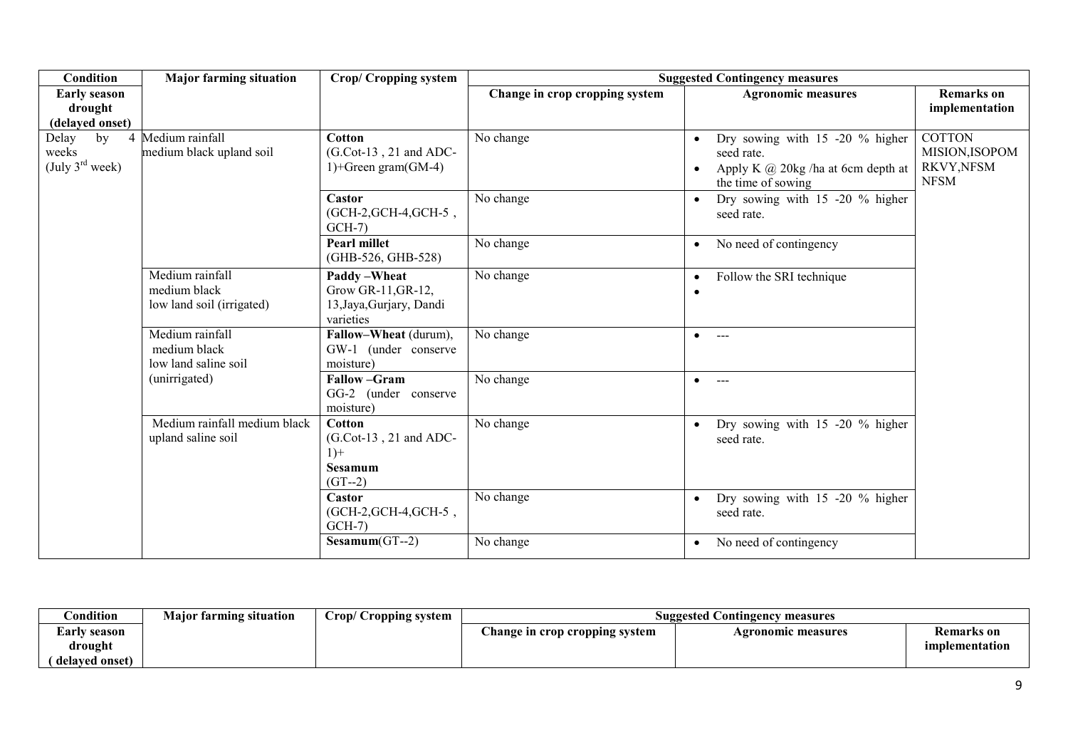| <b>Condition</b>                                    | <b>Major farming situation</b>                               | <b>Crop/Cropping system</b>                                                  | <b>Suggested Contingency measures</b> |                                                                                                                  |                                                             |
|-----------------------------------------------------|--------------------------------------------------------------|------------------------------------------------------------------------------|---------------------------------------|------------------------------------------------------------------------------------------------------------------|-------------------------------------------------------------|
| <b>Early season</b><br>drought<br>(delayed onset)   |                                                              |                                                                              | Change in crop cropping system        | <b>Agronomic measures</b>                                                                                        | <b>Remarks</b> on<br>implementation                         |
| Delay<br>by<br>weeks<br>(July $3^{\text{rd}}$ week) | 4 Medium rainfall<br>medium black upland soil                | Cotton<br>$(G.Cot-13, 21$ and ADC-<br>1)+Green gram $(GM-4)$                 | No change                             | Dry sowing with 15 -20 % higher<br>seed rate.<br>Apply K $\omega$ 20kg /ha at 6cm depth at<br>the time of sowing | <b>COTTON</b><br>MISION, ISOPOM<br>RKVY,NFSM<br><b>NFSM</b> |
|                                                     |                                                              | Castor<br>(GCH-2, GCH-4, GCH-5,<br>$GCH-7$                                   | No change                             | Dry sowing with 15 -20 % higher<br>$\bullet$<br>seed rate.                                                       |                                                             |
|                                                     |                                                              | <b>Pearl millet</b><br>(GHB-526, GHB-528)                                    | No change                             | No need of contingency<br>$\bullet$                                                                              |                                                             |
|                                                     | Medium rainfall<br>medium black<br>low land soil (irrigated) | Paddy - Wheat<br>Grow GR-11, GR-12,<br>13, Jaya, Gurjary, Dandi<br>varieties | No change                             | Follow the SRI technique<br>$\bullet$<br>$\bullet$                                                               |                                                             |
|                                                     | Medium rainfall<br>medium black<br>low land saline soil      | Fallow-Wheat (durum),<br>GW-1 (under conserve<br>moisture)                   | No change                             | $\bullet$<br>----                                                                                                |                                                             |
|                                                     | (unirrigated)                                                | <b>Fallow-Gram</b><br>GG-2 (under conserve<br>moisture)                      | No change                             | $\bullet$<br>$\sim$ $-$                                                                                          |                                                             |
|                                                     | Medium rainfall medium black<br>upland saline soil           | Cotton<br>$(G.Cot-13, 21$ and ADC-<br>$1) +$<br>Sesamum<br>$(GT-2)$          | No change                             | Dry sowing with $15 -20$ % higher<br>$\bullet$<br>seed rate.                                                     |                                                             |
|                                                     |                                                              | Castor<br>(GCH-2, GCH-4, GCH-5,<br>$GCH-7$                                   | No change                             | Dry sowing with $15 -20$ % higher<br>$\bullet$<br>seed rate.                                                     |                                                             |
|                                                     |                                                              | $Sesamum(GT-2)$                                                              | No change                             | No need of contingency<br>$\bullet$                                                                              |                                                             |

| ondition!      | <b>Major farming situation</b> | Crop/ Cropping system | <b>Suggested Contingency measures</b> |                    |                   |  |
|----------------|--------------------------------|-----------------------|---------------------------------------|--------------------|-------------------|--|
| Early season   |                                |                       | Change in crop cropping system        | Agronomic measures | <b>Remarks</b> on |  |
| drought        |                                |                       |                                       |                    | implementation    |  |
| delaved onset) |                                |                       |                                       |                    |                   |  |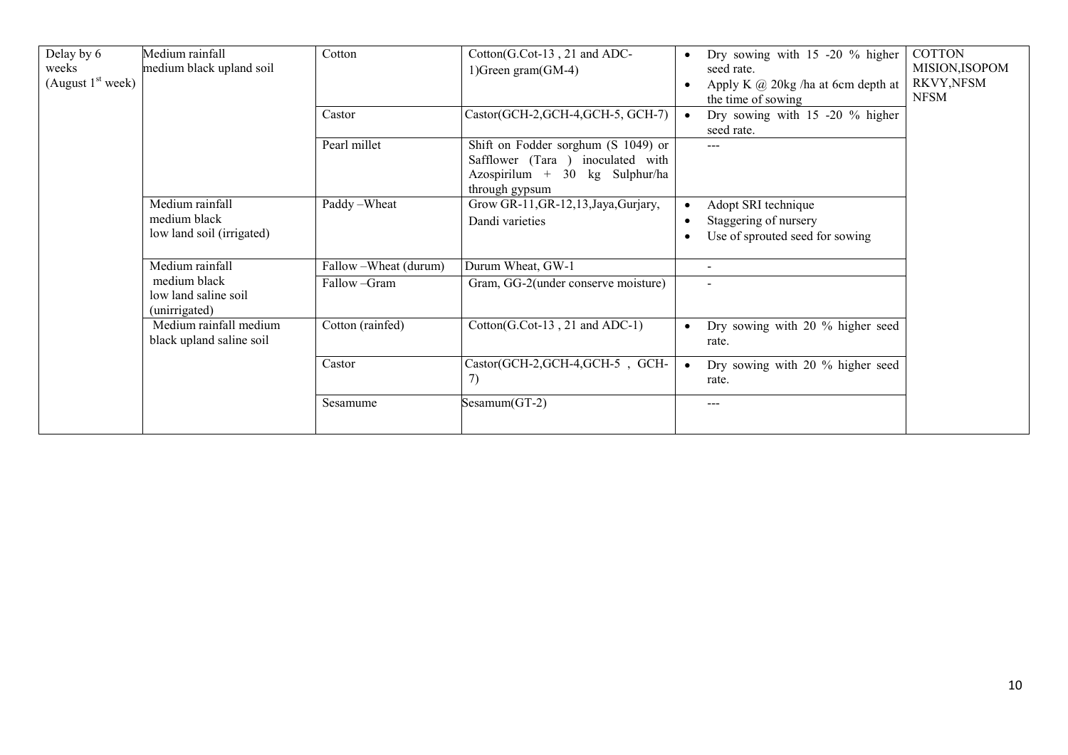| Delay by 6<br>weeks<br>(August $1st$ week) | Medium rainfall<br>medium black upland soil           | Cotton                 | Cotton(G.Cot-13, 21 and ADC-<br>1) Green gram (GM-4)                                                                         | $\bullet$ | Dry sowing with 15 -20 % higher<br>seed rate.<br>Apply K $\omega$ 20kg /ha at 6cm depth at<br>the time of sowing | <b>COTTON</b><br>MISION, ISOPOM<br>RKVY, NFSM<br><b>NFSM</b> |
|--------------------------------------------|-------------------------------------------------------|------------------------|------------------------------------------------------------------------------------------------------------------------------|-----------|------------------------------------------------------------------------------------------------------------------|--------------------------------------------------------------|
|                                            |                                                       | Castor                 | $Castor(GCH-2, GCH-4, GCH-5, GCH-7)$                                                                                         | $\bullet$ | Dry sowing with 15 -20 % higher<br>seed rate.                                                                    |                                                              |
|                                            |                                                       | Pearl millet           | Shift on Fodder sorghum (S 1049) or<br>Safflower (Tara ) inoculated with<br>Azospirilum + 30 kg Sulphur/ha<br>through gypsum |           | ---                                                                                                              |                                                              |
|                                            | Medium rainfall                                       | Paddy-Wheat            | Grow GR-11, GR-12, 13, Jaya, Gurjary,                                                                                        |           | Adopt SRI technique                                                                                              |                                                              |
|                                            | medium black<br>low land soil (irrigated)             |                        | Dandi varieties                                                                                                              |           | Staggering of nursery                                                                                            |                                                              |
|                                            |                                                       |                        |                                                                                                                              |           | Use of sprouted seed for sowing                                                                                  |                                                              |
|                                            | Medium rainfall                                       | Fallow - Wheat (durum) | Durum Wheat, GW-1                                                                                                            |           | $\blacksquare$                                                                                                   |                                                              |
|                                            | medium black<br>low land saline soil<br>(unirrigated) | Fallow-Gram            | Gram, GG-2(under conserve moisture)                                                                                          |           | $\sim$                                                                                                           |                                                              |
|                                            | Medium rainfall medium<br>black upland saline soil    | Cotton (rainfed)       | Cotton(G.Cot-13, 21 and ADC-1)                                                                                               | $\bullet$ | Dry sowing with 20 % higher seed<br>rate.                                                                        |                                                              |
|                                            |                                                       | Castor                 | Castor(GCH-2,GCH-4,GCH-5, GCH-<br>7)                                                                                         | $\bullet$ | Dry sowing with 20 % higher seed<br>rate.                                                                        |                                                              |
|                                            |                                                       | Sesamume               | $Sesamum(GT-2)$                                                                                                              |           | ---                                                                                                              |                                                              |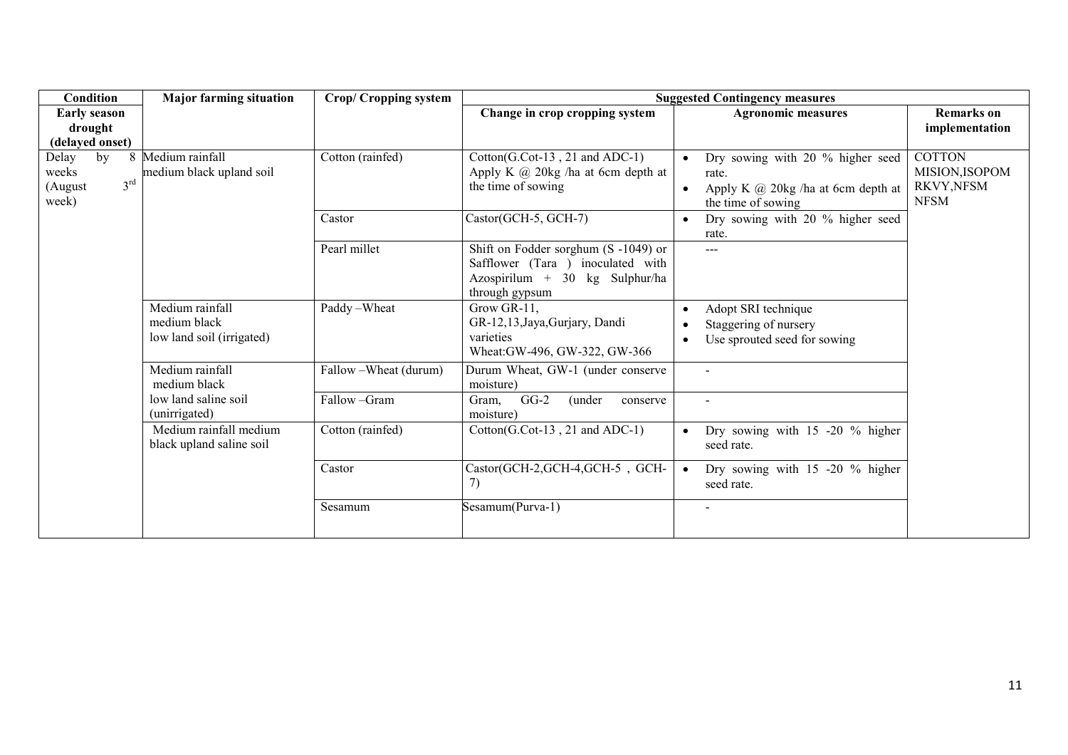| Condition                  | <b>Major farming situation</b>                     | <b>Crop/Cropping system</b> | <b>Suggested Contingency measures</b>                                         |                                                        |                   |  |
|----------------------------|----------------------------------------------------|-----------------------------|-------------------------------------------------------------------------------|--------------------------------------------------------|-------------------|--|
| <b>Early season</b>        |                                                    |                             | Change in crop cropping system                                                | <b>Agronomic measures</b>                              | <b>Remarks</b> on |  |
| drought                    |                                                    |                             |                                                                               |                                                        | implementation    |  |
| (delayed onset)            | 8 Medium rainfall                                  | Cotton (rainfed)            |                                                                               |                                                        | <b>COTTON</b>     |  |
| Delay<br>by<br>weeks       | medium black upland soil                           |                             | $Cotton(G.Cot-13, 21 and ADC-1)$<br>Apply K $\omega$ 20kg /ha at 6cm depth at | Dry sowing with 20 % higher seed<br>rate.              | MISION, ISOPOM    |  |
| $3^{\text{rd}}$<br>(August |                                                    |                             | the time of sowing                                                            | Apply K $\omega$ 20kg /ha at 6cm depth at              | RKVY, NFSM        |  |
| week)                      |                                                    |                             |                                                                               | the time of sowing                                     | <b>NFSM</b>       |  |
|                            |                                                    | Castor                      | Castor(GCH-5, GCH-7)                                                          | Dry sowing with 20 % higher seed<br>$\bullet$<br>rate. |                   |  |
|                            |                                                    | Pearl millet                | Shift on Fodder sorghum (S-1049) or<br>Safflower (Tara ) inoculated with      | $---$                                                  |                   |  |
|                            |                                                    |                             | Azospirilum + 30 kg Sulphur/ha                                                |                                                        |                   |  |
|                            |                                                    |                             | through gypsum                                                                |                                                        |                   |  |
|                            | Medium rainfall                                    | Paddy-Wheat                 | Grow GR-11,                                                                   | Adopt SRI technique<br>$\bullet$                       |                   |  |
|                            | medium black                                       |                             | GR-12,13, Jaya, Gurjary, Dandi                                                | Staggering of nursery                                  |                   |  |
|                            | low land soil (irrigated)                          |                             | varieties<br>Wheat:GW-496, GW-322, GW-366                                     | Use sprouted seed for sowing                           |                   |  |
|                            | Medium rainfall<br>medium black                    | Fallow - Wheat (durum)      | Durum Wheat, GW-1 (under conserve<br>moisture)                                | $\sim$                                                 |                   |  |
|                            | low land saline soil<br>(unirrigated)              | Fallow-Gram                 | $GG-2$<br>(under<br>Gram,<br>conserve<br>moisture)                            | $\sim$                                                 |                   |  |
|                            | Medium rainfall medium<br>black upland saline soil | Cotton (rainfed)            | $Cottom(G.Cot-13, 21 and ADC-1)$                                              | Dry sowing with 15 -20 % higher<br>seed rate.          |                   |  |
|                            |                                                    | Castor                      | Castor(GCH-2,GCH-4,GCH-5, GCH-<br>7)                                          | Dry sowing with 15 -20 % higher<br>seed rate.          |                   |  |
|                            |                                                    | Sesamum                     | Sesamum(Purva-1)                                                              | $\overline{a}$                                         |                   |  |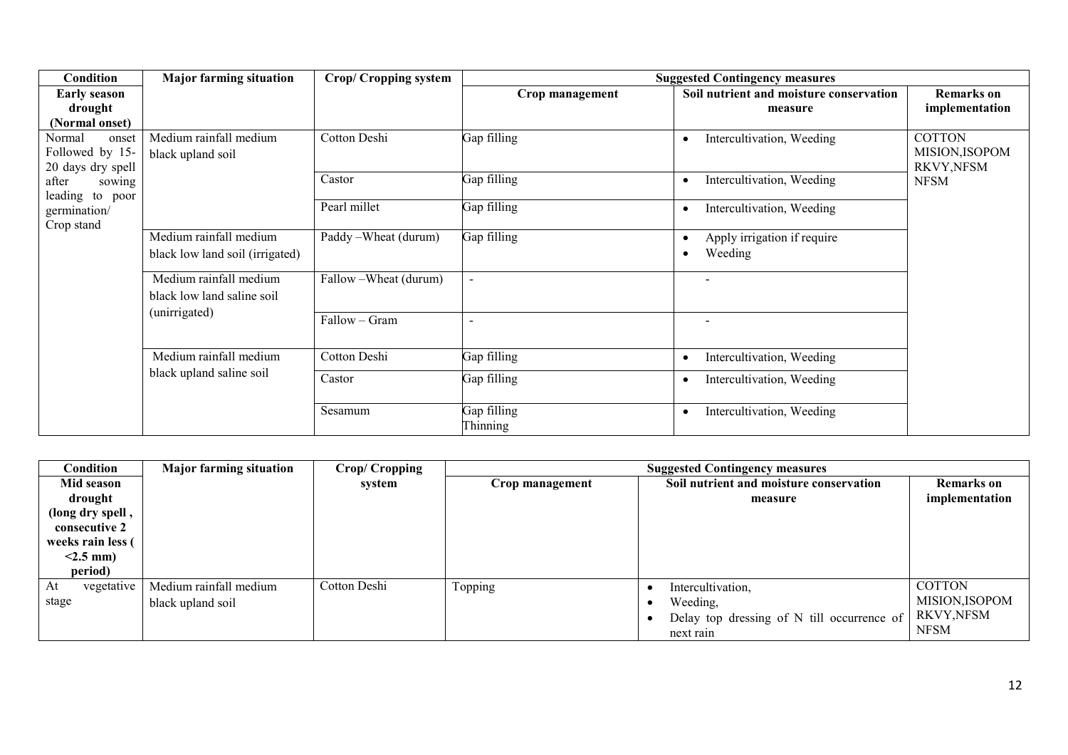| Condition           | <b>Major farming situation</b>  | <b>Crop/Cropping system</b> |                 | <b>Suggested Contingency measures</b>   |                   |
|---------------------|---------------------------------|-----------------------------|-----------------|-----------------------------------------|-------------------|
| <b>Early season</b> |                                 |                             | Crop management | Soil nutrient and moisture conservation | <b>Remarks</b> on |
| drought             |                                 |                             |                 | measure                                 | implementation    |
| (Normal onset)      |                                 |                             |                 |                                         |                   |
| Normal<br>onset     | Medium rainfall medium          | Cotton Deshi                | Gap filling     | Intercultivation, Weeding               | <b>COTTON</b>     |
| Followed by 15-     | black upland soil               |                             |                 |                                         | MISION, ISOPOM    |
| 20 days dry spell   |                                 |                             |                 |                                         | RKVY, NFSM        |
| after<br>sowing     |                                 | Castor                      | Gap filling     | Intercultivation, Weeding<br>٠          | <b>NFSM</b>       |
| leading to poor     |                                 | Pearl millet                | Gap filling     | Intercultivation, Weeding               |                   |
| germination/        |                                 |                             |                 |                                         |                   |
| Crop stand          | Medium rainfall medium          | Paddy - Wheat (durum)       | Gap filling     | Apply irrigation if require             |                   |
|                     | black low land soil (irrigated) |                             |                 | Weeding                                 |                   |
|                     |                                 |                             |                 |                                         |                   |
|                     | Medium rainfall medium          | Fallow - Wheat (durum)      |                 |                                         |                   |
|                     | black low land saline soil      |                             |                 |                                         |                   |
|                     | (unirrigated)                   |                             |                 |                                         |                   |
|                     |                                 | Fallow - Gram               |                 |                                         |                   |
|                     |                                 |                             |                 |                                         |                   |
|                     | Medium rainfall medium          | Cotton Deshi                | Gap filling     | Intercultivation, Weeding               |                   |
|                     | black upland saline soil        | Castor                      | Gap filling     | Intercultivation, Weeding               |                   |
|                     |                                 |                             |                 |                                         |                   |
|                     |                                 | Sesamum                     | Gap filling     | Intercultivation, Weeding<br>$\bullet$  |                   |
|                     |                                 |                             | Thinning        |                                         |                   |

| Condition         | <b>Major farming situation</b> | <b>Crop/Cropping</b> |                 | <b>Suggested Contingency measures</b>      |                   |  |  |
|-------------------|--------------------------------|----------------------|-----------------|--------------------------------------------|-------------------|--|--|
| Mid season        |                                | system               | Crop management | Soil nutrient and moisture conservation    | <b>Remarks</b> on |  |  |
| drought           |                                |                      |                 | measure                                    | implementation    |  |  |
| (long dry spell,  |                                |                      |                 |                                            |                   |  |  |
| consecutive 2     |                                |                      |                 |                                            |                   |  |  |
| weeks rain less ( |                                |                      |                 |                                            |                   |  |  |
| $< 2.5$ mm)       |                                |                      |                 |                                            |                   |  |  |
| period)           |                                |                      |                 |                                            |                   |  |  |
| vegetative<br>At  | Medium rainfall medium         | Cotton Deshi         | Topping         | Intercultivation,                          | <b>COTTON</b>     |  |  |
| stage             | black upland soil              |                      |                 | Weeding,                                   | MISION, ISOPOM    |  |  |
|                   |                                |                      |                 | Delay top dressing of N till occurrence of | RKVY,NFSM         |  |  |
|                   |                                |                      |                 | next rain                                  | <b>NFSM</b>       |  |  |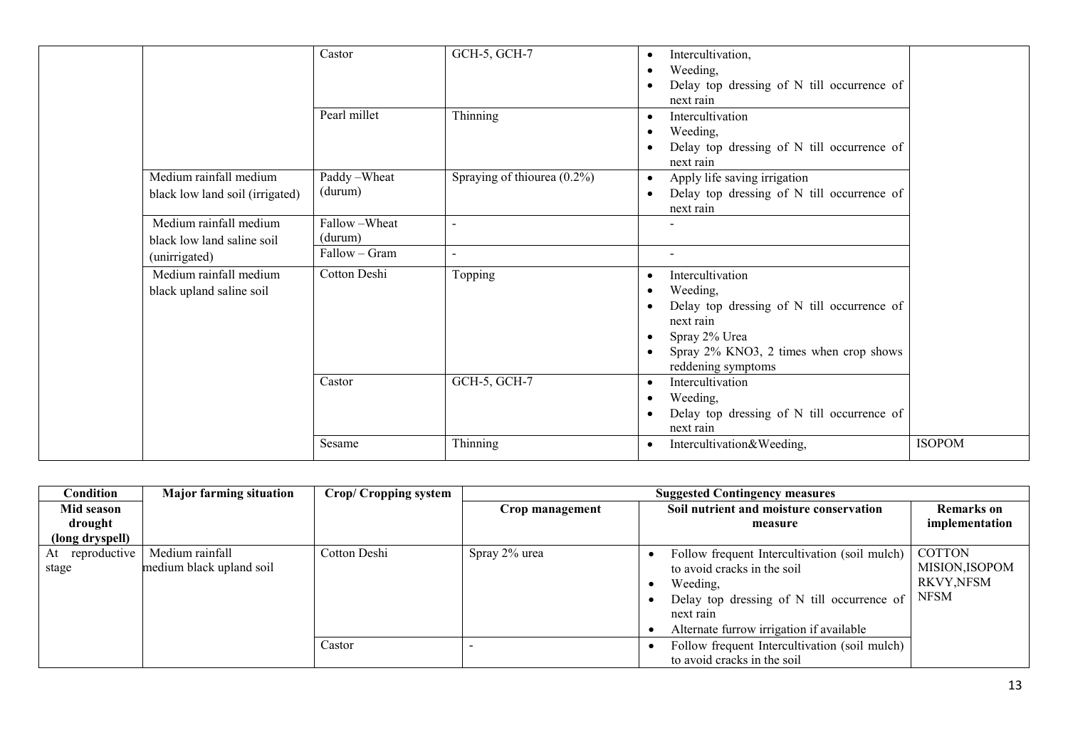|                                 | Castor        | GCH-5, GCH-7                   | Intercultivation,                                       |               |
|---------------------------------|---------------|--------------------------------|---------------------------------------------------------|---------------|
|                                 |               |                                | $\bullet$                                               |               |
|                                 |               |                                | Weeding,<br>$\bullet$                                   |               |
|                                 |               |                                | Delay top dressing of N till occurrence of              |               |
|                                 |               |                                | next rain                                               |               |
|                                 | Pearl millet  | Thinning                       | Intercultivation<br>$\bullet$                           |               |
|                                 |               |                                | Weeding,                                                |               |
|                                 |               |                                | Delay top dressing of N till occurrence of              |               |
|                                 |               |                                | next rain                                               |               |
| Medium rainfall medium          | Paddy-Wheat   | Spraying of thiourea $(0.2\%)$ | Apply life saving irrigation<br>$\bullet$               |               |
| black low land soil (irrigated) | (durum)       |                                | Delay top dressing of N till occurrence of<br>$\bullet$ |               |
|                                 |               |                                | next rain                                               |               |
| Medium rainfall medium          | Fallow-Wheat  | $\sim$                         |                                                         |               |
| black low land saline soil      | (durum)       |                                |                                                         |               |
| (unirrigated)                   | Fallow - Gram | $\sim$                         | $\sim$                                                  |               |
| Medium rainfall medium          | Cotton Deshi  | Topping                        | Intercultivation<br>$\bullet$                           |               |
| black upland saline soil        |               |                                | Weeding,<br>$\bullet$                                   |               |
|                                 |               |                                | Delay top dressing of N till occurrence of              |               |
|                                 |               |                                | next rain                                               |               |
|                                 |               |                                | Spray 2% Urea<br>$\bullet$                              |               |
|                                 |               |                                | Spray 2% KNO3, 2 times when crop shows<br>$\bullet$     |               |
|                                 |               |                                | reddening symptoms                                      |               |
|                                 | Castor        | GCH-5, GCH-7                   | Intercultivation<br>$\bullet$                           |               |
|                                 |               |                                | Weeding,<br>$\bullet$                                   |               |
|                                 |               |                                | Delay top dressing of N till occurrence of<br>$\bullet$ |               |
|                                 |               |                                | next rain                                               |               |
|                                 | Sesame        | Thinning                       | Intercultivation&Weeding,<br>$\bullet$                  | <b>ISOPOM</b> |
|                                 |               |                                |                                                         |               |

| Condition                | <b>Major farming situation</b>              | <b>Crop/Cropping system</b> |                 | <b>Suggested Contingency measures</b>                                                                                                                                                           |                                                                     |  |  |
|--------------------------|---------------------------------------------|-----------------------------|-----------------|-------------------------------------------------------------------------------------------------------------------------------------------------------------------------------------------------|---------------------------------------------------------------------|--|--|
| Mid season               |                                             |                             | Crop management | Soil nutrient and moisture conservation                                                                                                                                                         | <b>Remarks</b> on                                                   |  |  |
| drought                  |                                             |                             |                 | measure                                                                                                                                                                                         | implementation                                                      |  |  |
| (long dryspell)          |                                             |                             |                 |                                                                                                                                                                                                 |                                                                     |  |  |
| At reproductive<br>stage | Medium rainfall<br>medium black upland soil | Cotton Deshi                | Spray 2% urea   | Follow frequent Intercultivation (soil mulch)<br>to avoid cracks in the soil<br>Weeding,<br>Delay top dressing of N till occurrence of<br>next rain<br>Alternate furrow irrigation if available | <b>COTTON</b><br>MISION, ISOPOM<br><b>RKVY, NFSM</b><br><b>NFSM</b> |  |  |
|                          |                                             | Castor                      |                 | Follow frequent Intercultivation (soil mulch)<br>to avoid cracks in the soil                                                                                                                    |                                                                     |  |  |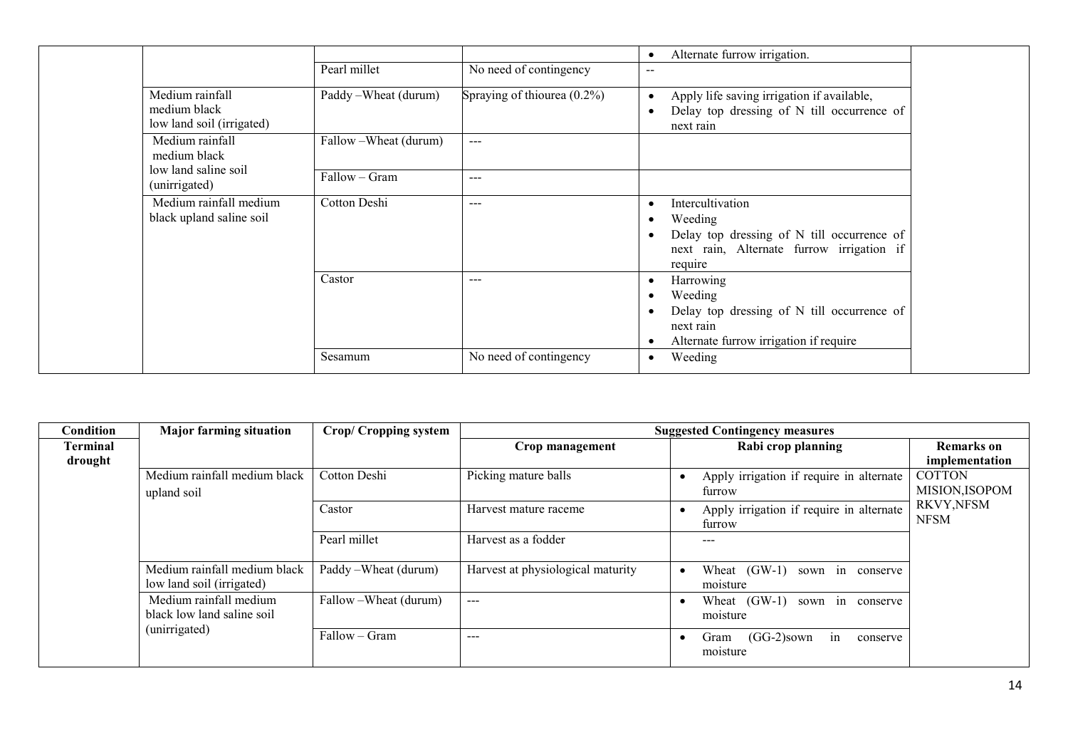|                                                              |                        |                             | Alternate furrow irrigation.<br>$\bullet$                                                                                                      |
|--------------------------------------------------------------|------------------------|-----------------------------|------------------------------------------------------------------------------------------------------------------------------------------------|
|                                                              | Pearl millet           | No need of contingency      | $\sim$ $\sim$                                                                                                                                  |
| Medium rainfall<br>medium black<br>low land soil (irrigated) | Paddy – Wheat (durum)  | Spraying of thiourea (0.2%) | Apply life saving irrigation if available,<br>$\bullet$<br>Delay top dressing of N till occurrence of<br>$\bullet$<br>next rain                |
| Medium rainfall<br>medium black                              | Fallow - Wheat (durum) | $---$                       |                                                                                                                                                |
| low land saline soil<br>(unirrigated)                        | Fallow - Gram          | $---$                       |                                                                                                                                                |
| Medium rainfall medium<br>black upland saline soil           | Cotton Deshi           | $--$                        | Intercultivation<br>$\bullet$<br>Weeding<br>Delay top dressing of N till occurrence of<br>next rain, Alternate furrow irrigation if<br>require |
|                                                              | Castor                 | $---$                       | Harrowing<br>٠<br>Weeding<br>Delay top dressing of N till occurrence of<br>next rain<br>Alternate furrow irrigation if require                 |
|                                                              | Sesamum                | No need of contingency      | Weeding<br>$\bullet$                                                                                                                           |

| Condition       | <b>Major farming situation</b>                                        | <b>Crop/Cropping system</b> |                                   | <b>Suggested Contingency measures</b>               |                                 |
|-----------------|-----------------------------------------------------------------------|-----------------------------|-----------------------------------|-----------------------------------------------------|---------------------------------|
| <b>Terminal</b> |                                                                       |                             | Crop management                   | Rabi crop planning                                  | <b>Remarks</b> on               |
| drought         |                                                                       |                             |                                   |                                                     | implementation                  |
|                 | Medium rainfall medium black<br>upland soil                           | Cotton Deshi                | Picking mature balls              | Apply irrigation if require in alternate<br>furrow  | <b>COTTON</b><br>MISION, ISOPOM |
|                 |                                                                       | Castor                      | Harvest mature raceme             | Apply irrigation if require in alternate<br>furrow  | RKVY, NFSM<br><b>NFSM</b>       |
|                 |                                                                       | Pearl millet                | Harvest as a fodder               | ---                                                 |                                 |
|                 | Medium rainfall medium black<br>low land soil (irrigated)             | Paddy – Wheat (durum)       | Harvest at physiological maturity | Wheat $(GW-1)$<br>sown in conserve<br>moisture      |                                 |
|                 | Medium rainfall medium<br>black low land saline soil<br>(unirrigated) | Fallow – Wheat (durum)      | $---$                             | Wheat (GW-1) sown in conserve<br>moisture           |                                 |
|                 |                                                                       | Fallow – Gram               | $---$                             | $(GG-2)$ sown<br>in<br>Gram<br>conserve<br>moisture |                                 |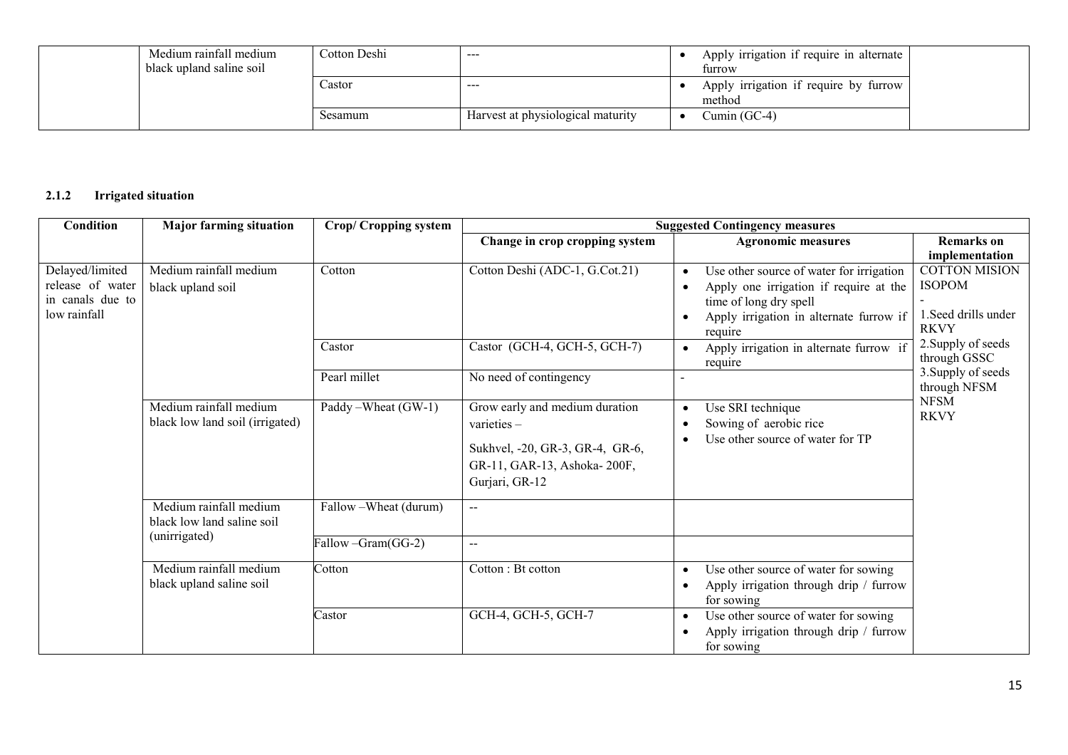| Medium rainfall medium<br>black upland saline soil | Cotton Deshi | $- - -$                           | Apply irrigation if require in alternate<br>furrow |  |
|----------------------------------------------------|--------------|-----------------------------------|----------------------------------------------------|--|
|                                                    | Castor       | $- - -$                           | Apply irrigation if require by furrow<br>method    |  |
|                                                    | Sesamum      | Harvest at physiological maturity | Cumin (GC-4)                                       |  |

## 2.1.2 Irrigated situation

| Condition                                                               | <b>Major farming situation</b>                            | <b>Crop/Cropping system</b> | <b>Suggested Contingency measures</b>                                                                                            |                                                                                                                                                                                 |                                                                              |  |
|-------------------------------------------------------------------------|-----------------------------------------------------------|-----------------------------|----------------------------------------------------------------------------------------------------------------------------------|---------------------------------------------------------------------------------------------------------------------------------------------------------------------------------|------------------------------------------------------------------------------|--|
|                                                                         |                                                           |                             | Change in crop cropping system                                                                                                   | <b>Agronomic measures</b>                                                                                                                                                       | <b>Remarks</b> on<br>implementation                                          |  |
| Delayed/limited<br>release of water<br>in canals due to<br>low rainfall | Medium rainfall medium<br>black upland soil               | Cotton                      | Cotton Deshi (ADC-1, G.Cot.21)                                                                                                   | Use other source of water for irrigation<br>$\bullet$<br>Apply one irrigation if require at the<br>time of long dry spell<br>Apply irrigation in alternate furrow if<br>require | <b>COTTON MISION</b><br><b>ISOPOM</b><br>1. Seed drills under<br><b>RKVY</b> |  |
|                                                                         |                                                           | Castor                      | Castor (GCH-4, GCH-5, GCH-7)                                                                                                     | Apply irrigation in alternate furrow if<br>$\bullet$<br>require                                                                                                                 | 2. Supply of seeds<br>through GSSC                                           |  |
|                                                                         |                                                           | Pearl millet                | No need of contingency                                                                                                           |                                                                                                                                                                                 | 3. Supply of seeds<br>through NFSM                                           |  |
|                                                                         | Medium rainfall medium<br>black low land soil (irrigated) | Paddy – Wheat (GW-1)        | Grow early and medium duration<br>varieties-<br>Sukhvel, -20, GR-3, GR-4, GR-6,<br>GR-11, GAR-13, Ashoka-200F,<br>Gurjari, GR-12 | Use SRI technique<br>$\bullet$<br>Sowing of aerobic rice<br>Use other source of water for TP                                                                                    | <b>NFSM</b><br><b>RKVY</b>                                                   |  |
|                                                                         | Medium rainfall medium<br>black low land saline soil      | Fallow - Wheat (durum)      | $- -$                                                                                                                            |                                                                                                                                                                                 |                                                                              |  |
|                                                                         | (unirrigated)                                             | Fallow - Gram (GG-2)        | $\overline{a}$                                                                                                                   |                                                                                                                                                                                 |                                                                              |  |
|                                                                         | Medium rainfall medium<br>black upland saline soil        | Cotton                      | Cotton: Bt cotton                                                                                                                | Use other source of water for sowing<br>$\bullet$<br>Apply irrigation through drip / furrow<br>for sowing                                                                       |                                                                              |  |
|                                                                         |                                                           | Castor                      | GCH-4, GCH-5, GCH-7                                                                                                              | Use other source of water for sowing<br>Apply irrigation through drip / furrow<br>for sowing                                                                                    |                                                                              |  |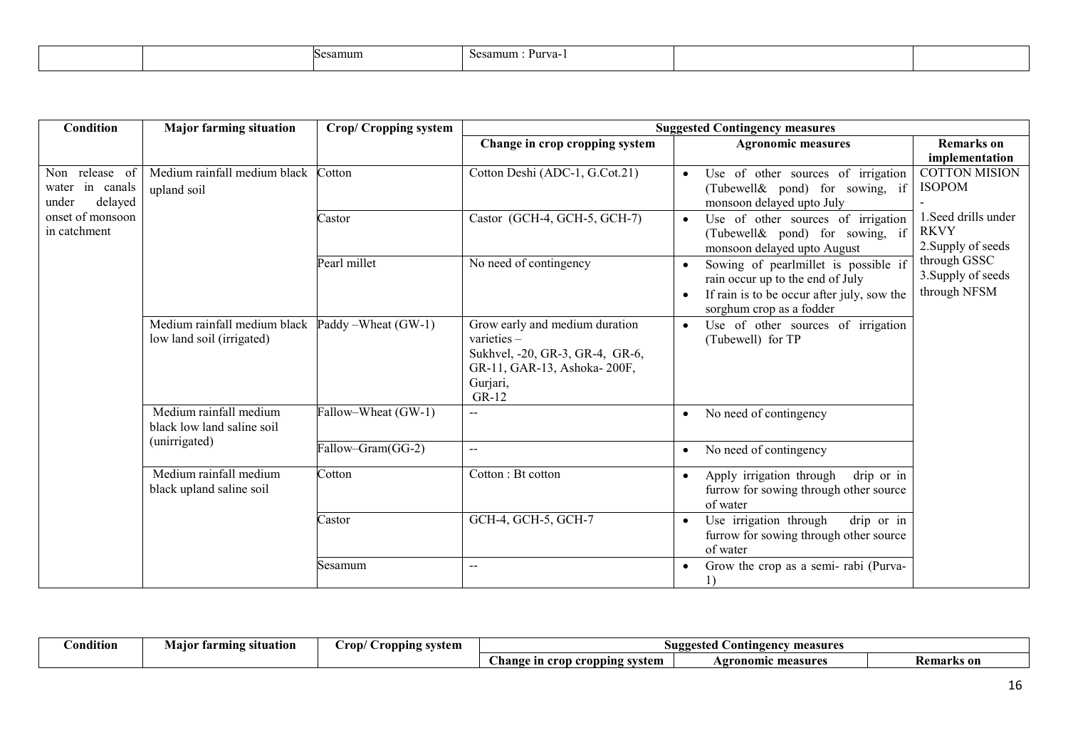| esamum<br>ົາບປ | 'urva-<br>Sesamum |  |  |
|----------------|-------------------|--|--|
|----------------|-------------------|--|--|

| Condition                        | <b>Major farming situation</b> | <b>Crop/Cropping system</b> | <b>Suggested Contingency measures</b> |                                                                        |                                   |  |
|----------------------------------|--------------------------------|-----------------------------|---------------------------------------|------------------------------------------------------------------------|-----------------------------------|--|
|                                  |                                |                             | Change in crop cropping system        | <b>Agronomic measures</b>                                              | <b>Remarks</b> on                 |  |
|                                  |                                |                             |                                       |                                                                        | implementation                    |  |
| Non release of                   | Medium rainfall medium black   | Cotton                      | Cotton Deshi (ADC-1, G.Cot.21)        | Use of other sources of irrigation                                     | <b>COTTON MISION</b>              |  |
| water in canals                  | upland soil                    |                             |                                       | (Tubewell& pond) for sowing, if                                        | <b>ISOPOM</b>                     |  |
| delayed<br>under                 |                                |                             |                                       | monsoon delayed upto July                                              |                                   |  |
| onset of monsoon<br>in catchment |                                | Castor                      | Castor (GCH-4, GCH-5, GCH-7)          | Use of other sources of irrigation                                     | 1. Seed drills under              |  |
|                                  |                                |                             |                                       | (Tubewell& pond) for sowing, if                                        | <b>RKVY</b><br>2. Supply of seeds |  |
|                                  |                                |                             |                                       | monsoon delayed upto August                                            | through GSSC                      |  |
|                                  |                                | Pearl millet                | No need of contingency                | Sowing of pearlmillet is possible if                                   | 3. Supply of seeds                |  |
|                                  |                                |                             |                                       | rain occur up to the end of July                                       | through NFSM                      |  |
|                                  |                                |                             |                                       | If rain is to be occur after july, sow the<br>sorghum crop as a fodder |                                   |  |
|                                  | Medium rainfall medium black   | Paddy – Wheat (GW-1)        | Grow early and medium duration        |                                                                        |                                   |  |
|                                  | low land soil (irrigated)      |                             | varieties $-$                         | Use of other sources of irrigation<br>$\bullet$<br>(Tubewell) for TP   |                                   |  |
|                                  |                                |                             | Sukhvel, -20, GR-3, GR-4, GR-6,       |                                                                        |                                   |  |
|                                  |                                |                             | GR-11, GAR-13, Ashoka-200F,           |                                                                        |                                   |  |
|                                  |                                |                             | Gurjari,                              |                                                                        |                                   |  |
|                                  |                                |                             | GR-12                                 |                                                                        |                                   |  |
|                                  | Medium rainfall medium         | Fallow-Wheat (GW-1)         |                                       | No need of contingency<br>$\bullet$                                    |                                   |  |
|                                  | black low land saline soil     |                             |                                       |                                                                        |                                   |  |
|                                  | (unirrigated)                  | Fallow-Gram(GG-2)           | $\sim$ $\sim$                         | No need of contingency<br>$\bullet$                                    |                                   |  |
|                                  |                                |                             |                                       |                                                                        |                                   |  |
|                                  | Medium rainfall medium         | Cotton                      | Cotton: Bt cotton                     | Apply irrigation through<br>drip or in                                 |                                   |  |
|                                  | black upland saline soil       |                             |                                       | furrow for sowing through other source                                 |                                   |  |
|                                  |                                |                             |                                       | of water                                                               |                                   |  |
|                                  |                                | Castor                      | GCH-4, GCH-5, GCH-7                   | drip or in<br>Use irrigation through                                   |                                   |  |
|                                  |                                |                             |                                       | furrow for sowing through other source                                 |                                   |  |
|                                  |                                |                             |                                       | of water                                                               |                                   |  |
|                                  |                                | Sesamum                     | $\sim$ $\sim$                         | Grow the crop as a semi-rabi (Purva-                                   |                                   |  |
|                                  |                                |                             |                                       | 1)                                                                     |                                   |  |

| .<br>Dondition | situation<br>tarmıng<br>маю | rop<br>ropping svstem<br>. . | measures<br>Contingency<br>gested     |                           |                  |
|----------------|-----------------------------|------------------------------|---------------------------------------|---------------------------|------------------|
|                |                             |                              | opping system:<br>hange<br>cron<br>ın | <b>Agronomic measures</b> | 'emarks<br>'S OL |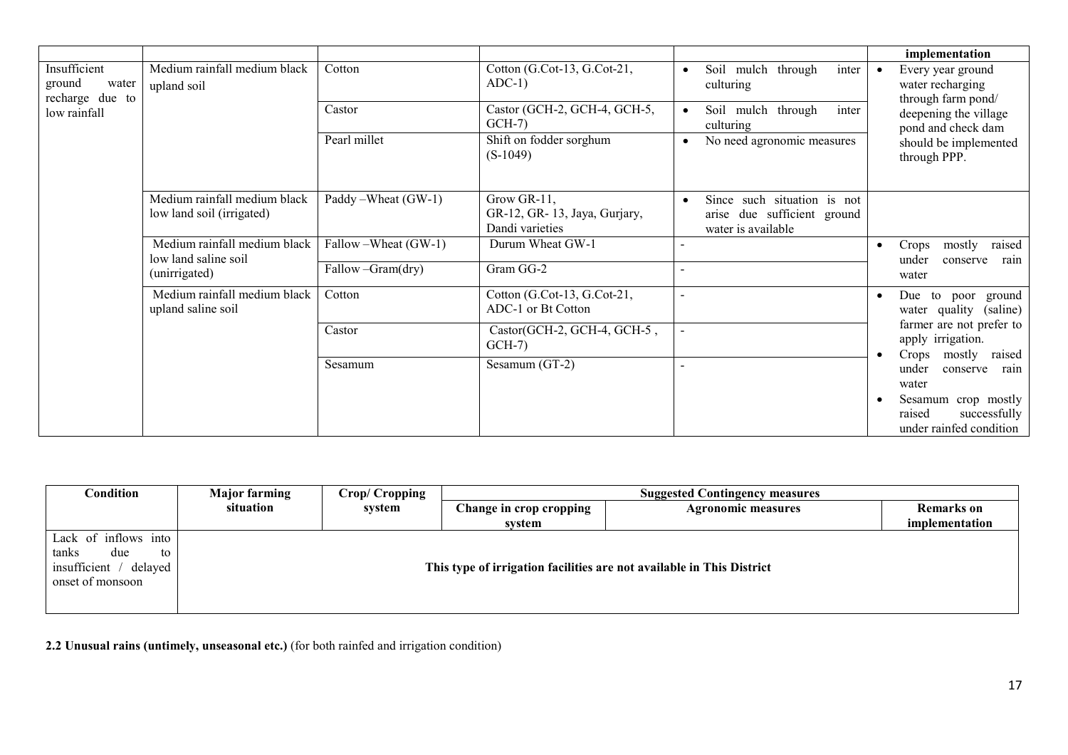|                                                    |                                                                       |                       |                                                                |                                                                                  | implementation                                                           |
|----------------------------------------------------|-----------------------------------------------------------------------|-----------------------|----------------------------------------------------------------|----------------------------------------------------------------------------------|--------------------------------------------------------------------------|
| Insufficient<br>ground<br>water<br>recharge due to | Medium rainfall medium black<br>upland soil                           | Cotton                | Cotton (G.Cot-13, G.Cot-21,<br>$ADC-1)$                        | inter<br>Soil mulch through<br>culturing                                         | Every year ground<br>$\bullet$<br>water recharging<br>through farm pond/ |
| low rainfall                                       |                                                                       | Castor                | Castor (GCH-2, GCH-4, GCH-5,<br>$GCH-7$                        | Soil mulch through<br>inter<br>culturing                                         | deepening the village<br>pond and check dam                              |
|                                                    |                                                                       | Pearl millet          | Shift on fodder sorghum<br>$(S-1049)$                          | No need agronomic measures                                                       | should be implemented<br>through PPP.                                    |
|                                                    | Medium rainfall medium black<br>low land soil (irrigated)             | Paddy – Wheat (GW-1)  | Grow GR-11,<br>GR-12, GR-13, Jaya, Gurjary,<br>Dandi varieties | Since such situation is not<br>arise due sufficient ground<br>water is available |                                                                          |
|                                                    | Medium rainfall medium black<br>low land saline soil<br>(unirrigated) | Fallow – Wheat (GW-1) | Durum Wheat GW-1                                               |                                                                                  | raised<br>mostly<br>Crops<br>under<br>conserve<br>rain                   |
|                                                    |                                                                       | Fallow-Gram(dry)      | Gram GG-2                                                      | $\overline{\phantom{a}}$                                                         | water                                                                    |
|                                                    | Medium rainfall medium black<br>upland saline soil                    | Cotton                | Cotton (G.Cot-13, G.Cot-21,<br>ADC-1 or Bt Cotton              | $\sim$                                                                           | Due to poor ground<br>$\bullet$<br>water quality (saline)                |
|                                                    |                                                                       | Castor                | Castor(GCH-2, GCH-4, GCH-5,<br>$GCH-7$                         |                                                                                  | farmer are not prefer to<br>apply irrigation.<br>Crops<br>mostly         |
|                                                    |                                                                       | Sesamum               | Sesamum (GT-2)                                                 | $\blacksquare$                                                                   | raised<br>under<br>conserve<br>rain<br>water                             |
|                                                    |                                                                       |                       |                                                                |                                                                                  | Sesamum crop mostly<br>successfully<br>raised<br>under rainfed condition |

| Condition                                                                                | <b>Major farming</b> | Crop/ Cropping | <b>Suggested Contingency measures</b> |                                                                       |                   |  |
|------------------------------------------------------------------------------------------|----------------------|----------------|---------------------------------------|-----------------------------------------------------------------------|-------------------|--|
|                                                                                          | situation            | system         | Change in crop cropping               | <b>Agronomic measures</b>                                             | <b>Remarks</b> on |  |
|                                                                                          |                      |                | svstem                                |                                                                       | implementation    |  |
| Lack of inflows into<br>tanks<br>to<br>due<br>insufficient / delayed<br>onset of monsoon |                      |                |                                       | This type of irrigation facilities are not available in This District |                   |  |

2.2 Unusual rains (untimely, unseasonal etc.) (for both rainfed and irrigation condition)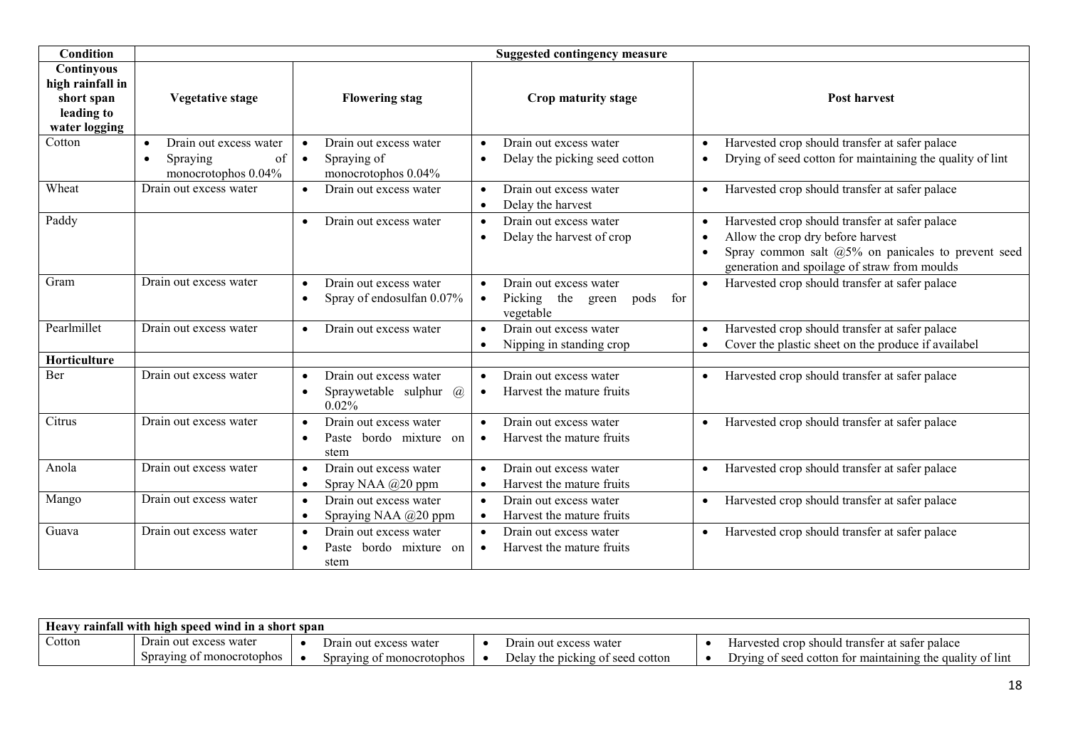| <b>Condition</b>                                                            | <b>Suggested contingency measure</b>                                                      |                                                                                               |                                                                                                   |                                                                                                                                                                                                                        |  |  |  |
|-----------------------------------------------------------------------------|-------------------------------------------------------------------------------------------|-----------------------------------------------------------------------------------------------|---------------------------------------------------------------------------------------------------|------------------------------------------------------------------------------------------------------------------------------------------------------------------------------------------------------------------------|--|--|--|
| Continyous<br>high rainfall in<br>short span<br>leading to<br>water logging | Vegetative stage                                                                          | <b>Flowering stag</b>                                                                         | Crop maturity stage                                                                               | <b>Post harvest</b>                                                                                                                                                                                                    |  |  |  |
| Cotton                                                                      | Drain out excess water<br>$\bullet$<br>Spraying<br>of<br>$\bullet$<br>monocrotophos 0.04% | Drain out excess water<br>$\bullet$<br>Spraying of<br>$\bullet$<br>monocrotophos 0.04%        | Drain out excess water<br>$\bullet$<br>Delay the picking seed cotton<br>$\bullet$                 | Harvested crop should transfer at safer palace<br>$\bullet$<br>Drying of seed cotton for maintaining the quality of lint<br>$\bullet$                                                                                  |  |  |  |
| Wheat                                                                       | Drain out excess water                                                                    | Drain out excess water<br>$\bullet$                                                           | Drain out excess water<br>$\bullet$<br>Delay the harvest<br>$\bullet$                             | Harvested crop should transfer at safer palace<br>$\bullet$                                                                                                                                                            |  |  |  |
| Paddy                                                                       |                                                                                           | Drain out excess water<br>$\bullet$                                                           | Drain out excess water<br>$\bullet$<br>Delay the harvest of crop<br>$\bullet$                     | Harvested crop should transfer at safer palace<br>$\bullet$<br>Allow the crop dry before harvest<br>$\bullet$<br>Spray common salt $@5\%$ on panicales to prevent seed<br>generation and spoilage of straw from moulds |  |  |  |
| Gram                                                                        | Drain out excess water                                                                    | Drain out excess water<br>$\bullet$<br>Spray of endosulfan 0.07%<br>$\bullet$                 | Drain out excess water<br>$\bullet$<br>Picking the<br>pods for<br>green<br>$\bullet$<br>vegetable | Harvested crop should transfer at safer palace<br>$\bullet$                                                                                                                                                            |  |  |  |
| Pearlmillet                                                                 | Drain out excess water                                                                    | Drain out excess water<br>$\bullet$                                                           | Drain out excess water<br>$\bullet$<br>Nipping in standing crop<br>$\bullet$                      | Harvested crop should transfer at safer palace<br>$\bullet$<br>Cover the plastic sheet on the produce if availabel                                                                                                     |  |  |  |
| Horticulture                                                                |                                                                                           |                                                                                               |                                                                                                   |                                                                                                                                                                                                                        |  |  |  |
| Ber                                                                         | Drain out excess water                                                                    | Drain out excess water<br>$\bullet$<br>Spraywetable sulphur<br>$\omega$<br>$\bullet$<br>0.02% | Drain out excess water<br>$\bullet$<br>Harvest the mature fruits<br>$\bullet$                     | Harvested crop should transfer at safer palace                                                                                                                                                                         |  |  |  |
| Citrus                                                                      | Drain out excess water                                                                    | Drain out excess water<br>$\bullet$<br>Paste bordo mixture on<br>$\bullet$<br>stem            | Drain out excess water<br>$\bullet$<br>Harvest the mature fruits<br>$\bullet$                     | Harvested crop should transfer at safer palace<br>$\bullet$                                                                                                                                                            |  |  |  |
| Anola                                                                       | Drain out excess water                                                                    | Drain out excess water<br>$\bullet$<br>Spray NAA @20 ppm<br>$\bullet$                         | Drain out excess water<br>$\bullet$<br>Harvest the mature fruits<br>$\bullet$                     | Harvested crop should transfer at safer palace<br>$\bullet$                                                                                                                                                            |  |  |  |
| Mango                                                                       | Drain out excess water                                                                    | Drain out excess water<br>$\bullet$<br>Spraying NAA @20 ppm<br>$\bullet$                      | Drain out excess water<br>$\bullet$<br>Harvest the mature fruits<br>$\bullet$                     | Harvested crop should transfer at safer palace                                                                                                                                                                         |  |  |  |
| Guava                                                                       | Drain out excess water                                                                    | Drain out excess water<br>$\bullet$<br>Paste<br>bordo mixture on<br>$\bullet$<br>stem         | Drain out excess water<br>$\bullet$<br>Harvest the mature fruits<br>$\bullet$                     | Harvested crop should transfer at safer palace                                                                                                                                                                         |  |  |  |

| $\gamma$ rainfall with high speed wind in a short span<br><b>Heavy</b> |                                                         |  |                                   |  |                                     |  |                                                                                |
|------------------------------------------------------------------------|---------------------------------------------------------|--|-----------------------------------|--|-------------------------------------|--|--------------------------------------------------------------------------------|
| Cotton                                                                 | $\overline{\phantom{a}}$<br>Drain out excess<br>s watei |  | . )rain<br>1 out excess water     |  | Jrain<br>n out excess water         |  | p should transfer at safer palace<br>Harvested crop                            |
|                                                                        | Spraying of monocroto<br>$\sim$ tophos                  |  | `onocrotophos<br>Spraving of<br>. |  | e picking of seed cotton<br>⊅elav ' |  | $\sim$ 1.<br>I seed cotton for maintaining the quality<br>of lint<br>Drving of |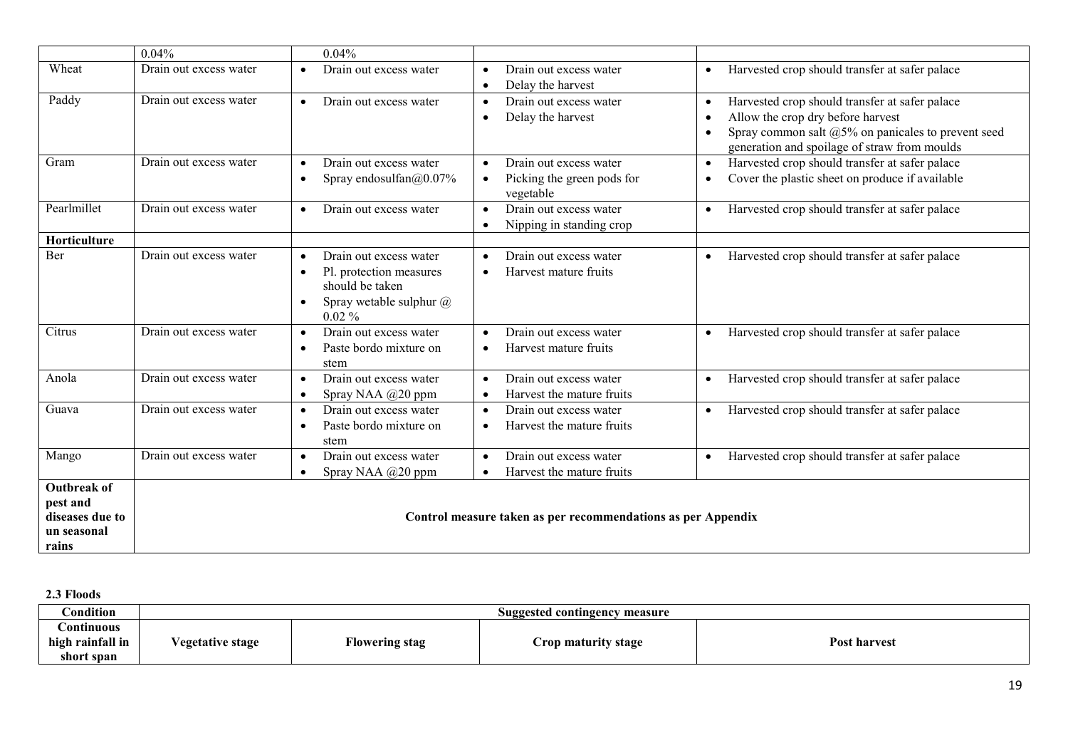|                      | 0.04%                  | 0.04%                                                   |                                                                                                         |                                                                                                                 |
|----------------------|------------------------|---------------------------------------------------------|---------------------------------------------------------------------------------------------------------|-----------------------------------------------------------------------------------------------------------------|
| Wheat                | Drain out excess water | Drain out excess water<br>$\bullet$                     | Drain out excess water<br>$\bullet$                                                                     | Harvested crop should transfer at safer palace<br>$\bullet$                                                     |
| Paddy                | Drain out excess water | Drain out excess water<br>$\bullet$                     | Delay the harvest<br>$\bullet$<br>Drain out excess water<br>$\bullet$<br>Delay the harvest<br>$\bullet$ | Harvested crop should transfer at safer palace<br>$\bullet$<br>Allow the crop dry before harvest<br>$\bullet$   |
|                      |                        |                                                         |                                                                                                         | Spray common salt @5% on panicales to prevent seed<br>$\bullet$<br>generation and spoilage of straw from moulds |
| Gram                 | Drain out excess water | Drain out excess water<br>$\bullet$                     | Drain out excess water<br>$\bullet$                                                                     | Harvested crop should transfer at safer palace<br>$\bullet$                                                     |
|                      |                        | Spray endosulfan@0.07%<br>$\bullet$                     | Picking the green pods for<br>$\bullet$<br>vegetable                                                    | Cover the plastic sheet on produce if available<br>$\bullet$                                                    |
| Pearlmillet          | Drain out excess water | Drain out excess water<br>$\bullet$                     | Drain out excess water                                                                                  | Harvested crop should transfer at safer palace<br>$\bullet$                                                     |
|                      |                        |                                                         | Nipping in standing crop<br>$\bullet$                                                                   |                                                                                                                 |
| Horticulture         |                        |                                                         |                                                                                                         |                                                                                                                 |
| Ber                  | Drain out excess water | Drain out excess water<br>$\bullet$                     | Drain out excess water                                                                                  | Harvested crop should transfer at safer palace                                                                  |
|                      |                        | Pl. protection measures<br>$\bullet$<br>should be taken | Harvest mature fruits                                                                                   |                                                                                                                 |
|                      |                        | Spray wetable sulphur $\omega$<br>$\bullet$<br>$0.02\%$ |                                                                                                         |                                                                                                                 |
| Citrus               | Drain out excess water | Drain out excess water<br>$\bullet$                     | Drain out excess water                                                                                  | Harvested crop should transfer at safer palace<br>$\bullet$                                                     |
|                      |                        | Paste bordo mixture on<br>$\bullet$<br>stem             | Harvest mature fruits                                                                                   |                                                                                                                 |
| Anola                | Drain out excess water | Drain out excess water<br>$\bullet$                     | Drain out excess water<br>$\bullet$                                                                     | Harvested crop should transfer at safer palace<br>$\bullet$                                                     |
|                      |                        | Spray NAA @20 ppm<br>$\bullet$                          | Harvest the mature fruits<br>$\bullet$                                                                  |                                                                                                                 |
| Guava                | Drain out excess water | Drain out excess water<br>$\bullet$                     | Drain out excess water<br>$\bullet$                                                                     | Harvested crop should transfer at safer palace<br>$\bullet$                                                     |
|                      |                        | Paste bordo mixture on<br>$\bullet$<br>stem             | Harvest the mature fruits                                                                               |                                                                                                                 |
| Mango                | Drain out excess water | Drain out excess water<br>$\bullet$                     | Drain out excess water<br>$\bullet$                                                                     | Harvested crop should transfer at safer palace<br>$\bullet$                                                     |
|                      |                        | Spray NAA @20 ppm<br>$\bullet$                          | Harvest the mature fruits                                                                               |                                                                                                                 |
| <b>Outbreak of</b>   |                        |                                                         |                                                                                                         |                                                                                                                 |
| pest and             |                        |                                                         |                                                                                                         |                                                                                                                 |
| diseases due to      |                        |                                                         | Control measure taken as per recommendations as per Appendix                                            |                                                                                                                 |
| un seasonal<br>rains |                        |                                                         |                                                                                                         |                                                                                                                 |
|                      |                        |                                                         |                                                                                                         |                                                                                                                 |

2.3 Floods

| $\complement$ ondition | Suggested contingency measure |                |                     |                     |  |  |
|------------------------|-------------------------------|----------------|---------------------|---------------------|--|--|
| .ontinuous             |                               |                |                     |                     |  |  |
| high rainfall in       | egetative stage/              | Flowering stag | Crop maturity stage | <b>Post harvest</b> |  |  |
| short span             |                               |                |                     |                     |  |  |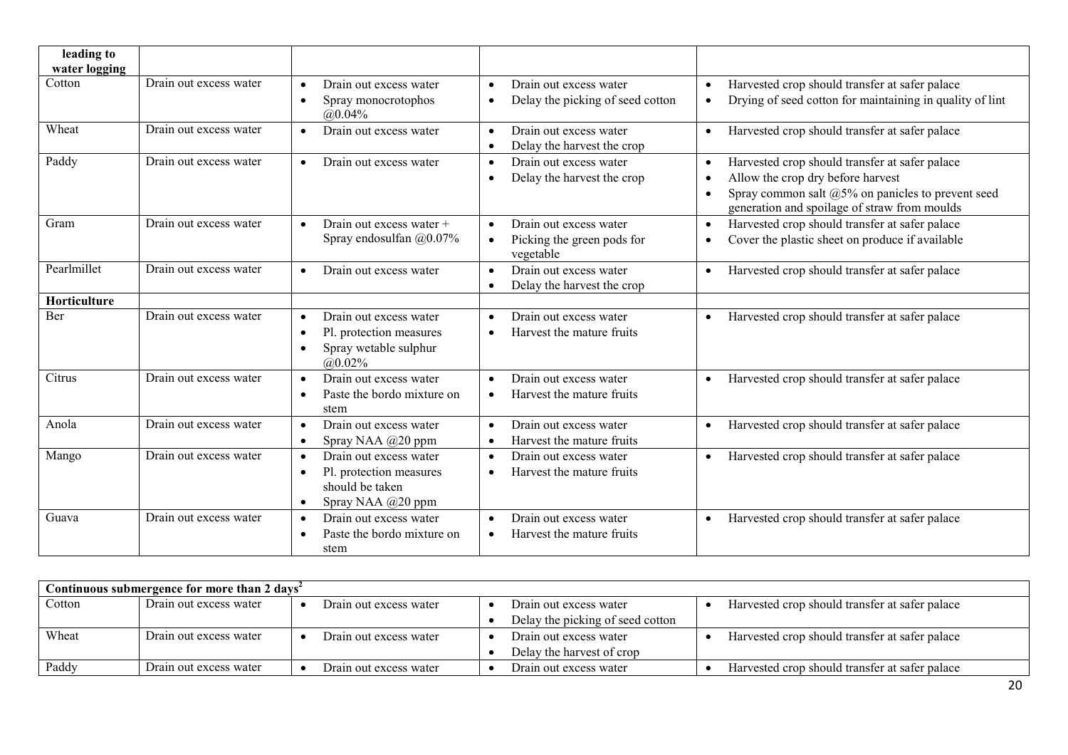| leading to<br>water logging |                        |                                                                                                                                  |                                                                                             |                                                                                                                                                                                                                                    |
|-----------------------------|------------------------|----------------------------------------------------------------------------------------------------------------------------------|---------------------------------------------------------------------------------------------|------------------------------------------------------------------------------------------------------------------------------------------------------------------------------------------------------------------------------------|
| Cotton                      | Drain out excess water | Drain out excess water<br>$\bullet$<br>Spray monocrotophos<br>$\bullet$<br>$@0.04\%$                                             | Drain out excess water<br>$\bullet$<br>Delay the picking of seed cotton<br>$\bullet$        | Harvested crop should transfer at safer palace<br>$\bullet$<br>Drying of seed cotton for maintaining in quality of lint<br>$\bullet$                                                                                               |
| Wheat                       | Drain out excess water | Drain out excess water<br>$\bullet$                                                                                              | Drain out excess water<br>$\bullet$<br>Delay the harvest the crop<br>$\bullet$              | Harvested crop should transfer at safer palace<br>$\bullet$                                                                                                                                                                        |
| Paddy                       | Drain out excess water | Drain out excess water<br>$\bullet$                                                                                              | Drain out excess water<br>$\bullet$<br>Delay the harvest the crop<br>$\bullet$              | Harvested crop should transfer at safer palace<br>$\bullet$<br>Allow the crop dry before harvest<br>$\bullet$<br>Spray common salt $@5\%$ on panicles to prevent seed<br>$\bullet$<br>generation and spoilage of straw from moulds |
| Gram                        | Drain out excess water | Drain out excess water +<br>$\bullet$<br>Spray endosulfan @0.07%                                                                 | Drain out excess water<br>$\bullet$<br>Picking the green pods for<br>$\bullet$<br>vegetable | Harvested crop should transfer at safer palace<br>$\bullet$<br>Cover the plastic sheet on produce if available<br>$\bullet$                                                                                                        |
| Pearlmillet                 | Drain out excess water | Drain out excess water<br>$\bullet$                                                                                              | Drain out excess water<br>$\bullet$<br>Delay the harvest the crop<br>$\bullet$              | Harvested crop should transfer at safer palace<br>$\bullet$                                                                                                                                                                        |
| Horticulture                |                        |                                                                                                                                  |                                                                                             |                                                                                                                                                                                                                                    |
| Ber                         | Drain out excess water | Drain out excess water<br>$\bullet$<br>Pl. protection measures<br>$\bullet$<br>Spray wetable sulphur<br>$\bullet$<br>$@0.02\%$   | Drain out excess water<br>$\bullet$<br>Harvest the mature fruits                            | Harvested crop should transfer at safer palace<br>$\bullet$                                                                                                                                                                        |
| Citrus                      | Drain out excess water | Drain out excess water<br>$\bullet$<br>Paste the bordo mixture on<br>$\bullet$<br>stem                                           | Drain out excess water<br>$\bullet$<br>Harvest the mature fruits                            | Harvested crop should transfer at safer palace<br>$\bullet$                                                                                                                                                                        |
| Anola                       | Drain out excess water | Drain out excess water<br>$\bullet$<br>Spray NAA @20 ppm<br>$\bullet$                                                            | Drain out excess water<br>$\bullet$<br>Harvest the mature fruits<br>$\bullet$               | Harvested crop should transfer at safer palace<br>$\bullet$                                                                                                                                                                        |
| Mango                       | Drain out excess water | Drain out excess water<br>$\bullet$<br>Pl. protection measures<br>$\bullet$<br>should be taken<br>Spray NAA @20 ppm<br>$\bullet$ | Drain out excess water<br>$\bullet$<br>Harvest the mature fruits<br>$\bullet$               | Harvested crop should transfer at safer palace<br>$\bullet$                                                                                                                                                                        |
| Guava                       | Drain out excess water | Drain out excess water<br>$\bullet$<br>Paste the bordo mixture on<br>$\bullet$<br>stem                                           | Drain out excess water<br>$\bullet$<br>Harvest the mature fruits<br>$\bullet$               | Harvested crop should transfer at safer palace<br>$\bullet$                                                                                                                                                                        |

| Continuous submergence for more than 2 days <sup>2</sup> |                        |                        |                                  |                                                |  |  |  |
|----------------------------------------------------------|------------------------|------------------------|----------------------------------|------------------------------------------------|--|--|--|
| Cotton                                                   | Drain out excess water | Drain out excess water | Drain out excess water           | Harvested crop should transfer at safer palace |  |  |  |
|                                                          |                        |                        | Delay the picking of seed cotton |                                                |  |  |  |
| Wheat                                                    | Drain out excess water | Drain out excess water | Drain out excess water           | Harvested crop should transfer at safer palace |  |  |  |
|                                                          |                        |                        | Delay the harvest of crop        |                                                |  |  |  |
| Paddv                                                    | Drain out excess water | Drain out excess water | Drain out excess water           | Harvested crop should transfer at safer palace |  |  |  |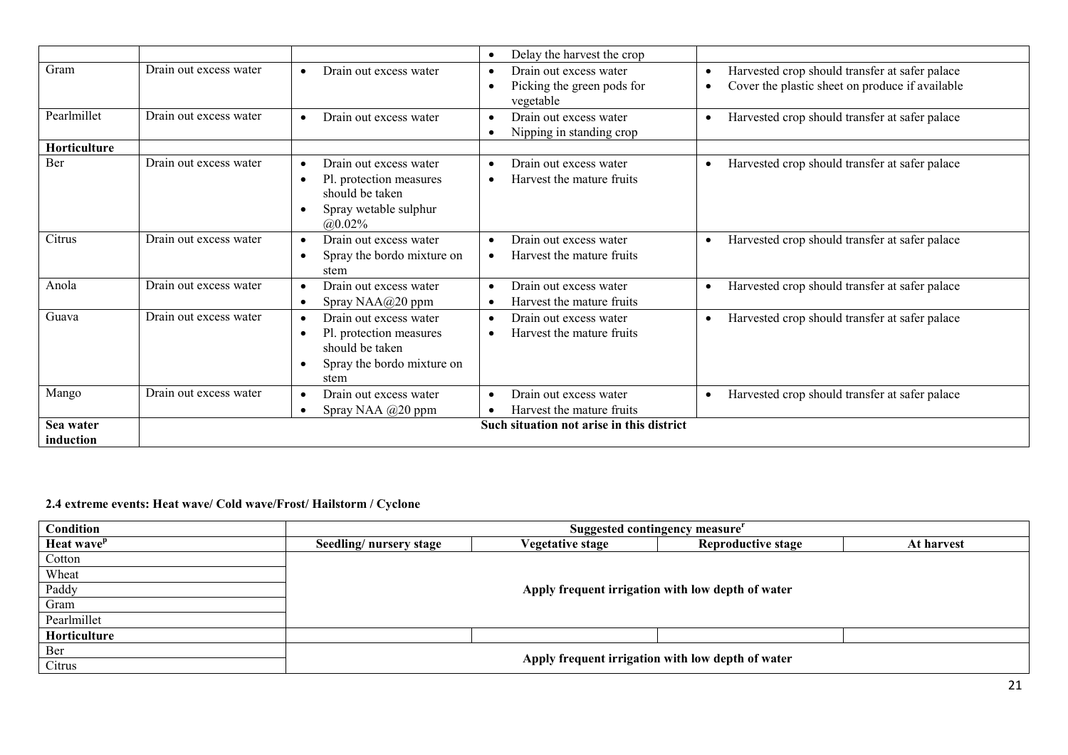|                        |                        |                                                                                                                                                   | Delay the harvest the crop<br>$\bullet$                                        |                                                                                                                     |
|------------------------|------------------------|---------------------------------------------------------------------------------------------------------------------------------------------------|--------------------------------------------------------------------------------|---------------------------------------------------------------------------------------------------------------------|
| Gram                   | Drain out excess water | Drain out excess water<br>$\bullet$                                                                                                               | Drain out excess water<br>$\bullet$<br>Picking the green pods for<br>vegetable | Harvested crop should transfer at safer palace<br>$\bullet$<br>Cover the plastic sheet on produce if available<br>٠ |
| Pearlmillet            | Drain out excess water | Drain out excess water<br>$\bullet$                                                                                                               | Drain out excess water<br>$\bullet$<br>Nipping in standing crop<br>$\bullet$   | Harvested crop should transfer at safer palace<br>$\bullet$                                                         |
| Horticulture           |                        |                                                                                                                                                   |                                                                                |                                                                                                                     |
| Ber                    | Drain out excess water | Drain out excess water<br>$\bullet$<br>Pl. protection measures<br>$\bullet$<br>should be taken<br>Spray wetable sulphur<br>$\bullet$<br>$@0.02\%$ | Drain out excess water<br>$\bullet$<br>Harvest the mature fruits<br>$\bullet$  | Harvested crop should transfer at safer palace<br>$\bullet$                                                         |
| Citrus                 | Drain out excess water | Drain out excess water<br>$\bullet$<br>Spray the bordo mixture on<br>$\bullet$<br>stem                                                            | Drain out excess water<br>$\bullet$<br>Harvest the mature fruits<br>$\bullet$  | Harvested crop should transfer at safer palace<br>$\bullet$                                                         |
| Anola                  | Drain out excess water | Drain out excess water<br>$\bullet$<br>Spray $NAA@20$ ppm<br>$\bullet$                                                                            | Drain out excess water<br>$\bullet$<br>Harvest the mature fruits<br>$\bullet$  | Harvested crop should transfer at safer palace<br>$\bullet$                                                         |
| Guava                  | Drain out excess water | Drain out excess water<br>$\bullet$<br>Pl. protection measures<br>$\bullet$<br>should be taken<br>Spray the bordo mixture on<br>$\bullet$<br>stem | Drain out excess water<br>$\bullet$<br>Harvest the mature fruits<br>$\bullet$  | Harvested crop should transfer at safer palace<br>$\bullet$                                                         |
| Mango                  | Drain out excess water | Drain out excess water<br>$\bullet$<br>Spray NAA @20 ppm<br>$\bullet$                                                                             | Drain out excess water<br>$\bullet$<br>Harvest the mature fruits               | Harvested crop should transfer at safer palace<br>$\bullet$                                                         |
| Sea water<br>induction |                        |                                                                                                                                                   | Such situation not arise in this district                                      |                                                                                                                     |

#### 2.4 extreme events: Heat wave/ Cold wave/Frost/ Hailstorm / Cyclone

| Condition              | Suggested contingency measure                     |                  |                                                   |            |
|------------------------|---------------------------------------------------|------------------|---------------------------------------------------|------------|
| Heat wave <sup>p</sup> | Seedling/nursery stage                            | Vegetative stage | <b>Reproductive stage</b>                         | At harvest |
| Cotton                 |                                                   |                  |                                                   |            |
| Wheat                  |                                                   |                  |                                                   |            |
| Paddy                  | Apply frequent irrigation with low depth of water |                  |                                                   |            |
| Gram                   |                                                   |                  |                                                   |            |
| Pearlmillet            |                                                   |                  |                                                   |            |
| Horticulture           |                                                   |                  |                                                   |            |
| Ber                    |                                                   |                  |                                                   |            |
| Citrus                 |                                                   |                  | Apply frequent irrigation with low depth of water |            |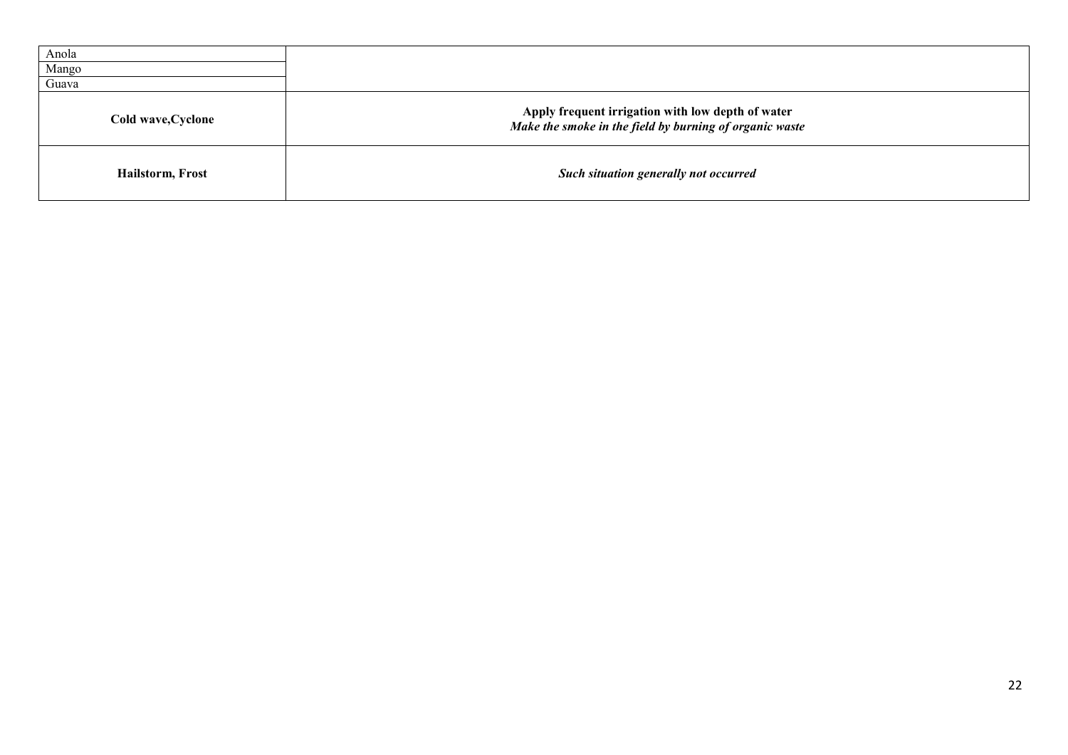| Anola              |                                                                                                              |
|--------------------|--------------------------------------------------------------------------------------------------------------|
| Mango              |                                                                                                              |
| Guava              |                                                                                                              |
| Cold wave, Cyclone | Apply frequent irrigation with low depth of water<br>Make the smoke in the field by burning of organic waste |
| Hailstorm, Frost   | Such situation generally not occurred                                                                        |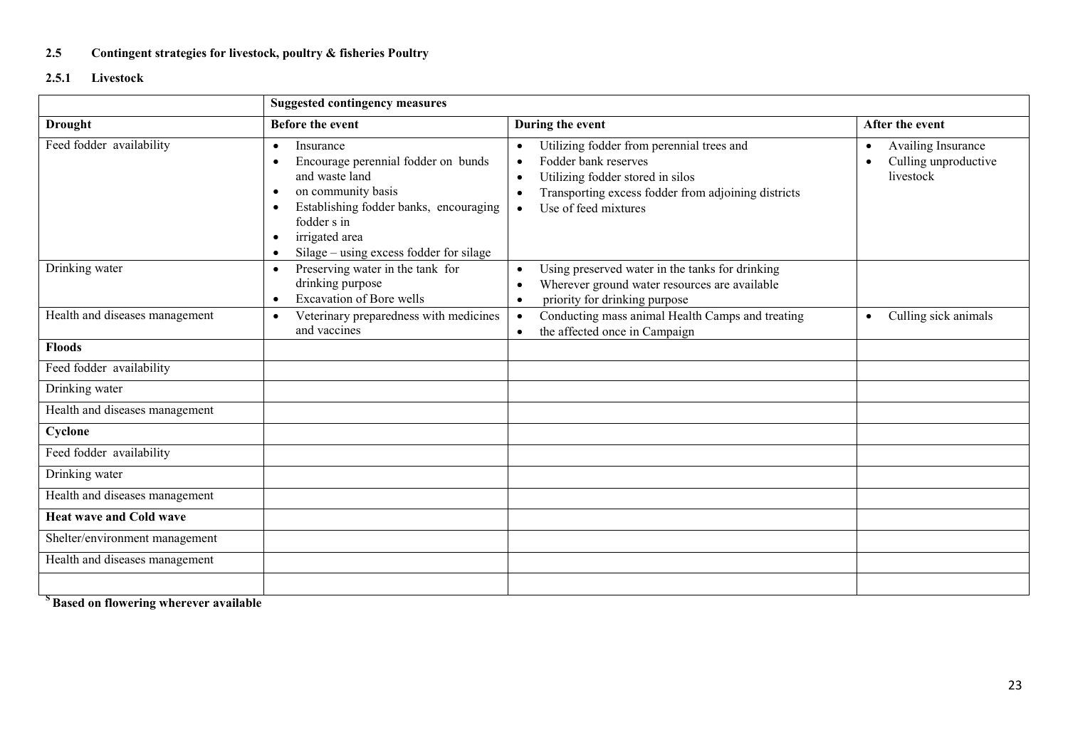## 2.5 Contingent strategies for livestock, poultry & fisheries Poultry

## 2.5.1 Livestock

|                                | <b>Suggested contingency measures</b>                                                                                                                                                                                                                 |                                                                                                                                                                                                                                                       |                                                                                   |
|--------------------------------|-------------------------------------------------------------------------------------------------------------------------------------------------------------------------------------------------------------------------------------------------------|-------------------------------------------------------------------------------------------------------------------------------------------------------------------------------------------------------------------------------------------------------|-----------------------------------------------------------------------------------|
| <b>Drought</b>                 | <b>Before the event</b>                                                                                                                                                                                                                               | During the event                                                                                                                                                                                                                                      | After the event                                                                   |
| Feed fodder availability       | Insurance<br>$\bullet$<br>Encourage perennial fodder on bunds<br>and waste land<br>on community basis<br>$\bullet$<br>Establishing fodder banks, encouraging<br>fodder s in<br>irrigated area<br>Silage – using excess fodder for silage<br>$\bullet$ | Utilizing fodder from perennial trees and<br>$\bullet$<br>Fodder bank reserves<br>$\bullet$<br>Utilizing fodder stored in silos<br>$\bullet$<br>Transporting excess fodder from adjoining districts<br>$\bullet$<br>Use of feed mixtures<br>$\bullet$ | Availing Insurance<br>$\bullet$<br>Culling unproductive<br>$\bullet$<br>livestock |
| Drinking water                 | Preserving water in the tank for<br>$\bullet$<br>drinking purpose<br><b>Excavation of Bore wells</b><br>$\bullet$                                                                                                                                     | Using preserved water in the tanks for drinking<br>$\bullet$<br>Wherever ground water resources are available<br>$\bullet$<br>priority for drinking purpose<br>$\bullet$                                                                              |                                                                                   |
| Health and diseases management | Veterinary preparedness with medicines<br>$\bullet$<br>and vaccines                                                                                                                                                                                   | Conducting mass animal Health Camps and treating<br>$\bullet$<br>the affected once in Campaign<br>$\bullet$                                                                                                                                           | Culling sick animals<br>$\bullet$                                                 |
| <b>Floods</b>                  |                                                                                                                                                                                                                                                       |                                                                                                                                                                                                                                                       |                                                                                   |
| Feed fodder availability       |                                                                                                                                                                                                                                                       |                                                                                                                                                                                                                                                       |                                                                                   |
| Drinking water                 |                                                                                                                                                                                                                                                       |                                                                                                                                                                                                                                                       |                                                                                   |
| Health and diseases management |                                                                                                                                                                                                                                                       |                                                                                                                                                                                                                                                       |                                                                                   |
| Cyclone                        |                                                                                                                                                                                                                                                       |                                                                                                                                                                                                                                                       |                                                                                   |
| Feed fodder availability       |                                                                                                                                                                                                                                                       |                                                                                                                                                                                                                                                       |                                                                                   |
| Drinking water                 |                                                                                                                                                                                                                                                       |                                                                                                                                                                                                                                                       |                                                                                   |
| Health and diseases management |                                                                                                                                                                                                                                                       |                                                                                                                                                                                                                                                       |                                                                                   |
| <b>Heat wave and Cold wave</b> |                                                                                                                                                                                                                                                       |                                                                                                                                                                                                                                                       |                                                                                   |
| Shelter/environment management |                                                                                                                                                                                                                                                       |                                                                                                                                                                                                                                                       |                                                                                   |
| Health and diseases management |                                                                                                                                                                                                                                                       |                                                                                                                                                                                                                                                       |                                                                                   |
|                                |                                                                                                                                                                                                                                                       |                                                                                                                                                                                                                                                       |                                                                                   |

<sup>S</sup>Based on flowering wherever available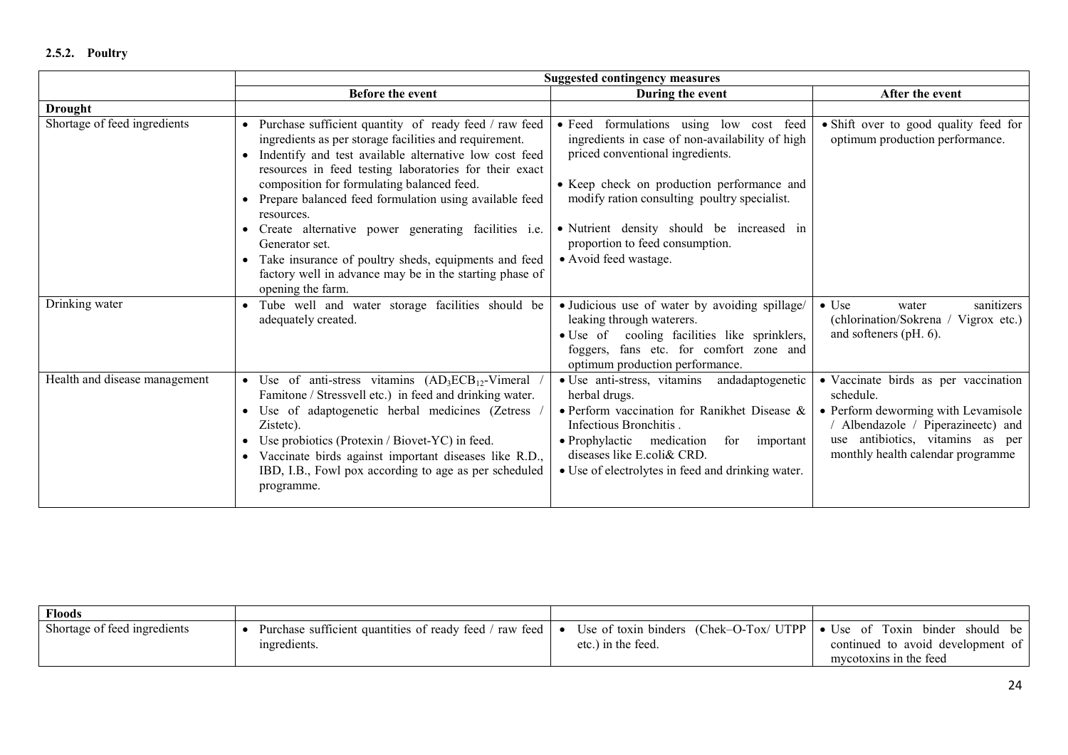|                               | <b>Suggested contingency measures</b>                                                                                                                                                                                                                                                                                                                                           |                                                                                                                                                                                                                                                                                |                                                                                                                                                                                                         |
|-------------------------------|---------------------------------------------------------------------------------------------------------------------------------------------------------------------------------------------------------------------------------------------------------------------------------------------------------------------------------------------------------------------------------|--------------------------------------------------------------------------------------------------------------------------------------------------------------------------------------------------------------------------------------------------------------------------------|---------------------------------------------------------------------------------------------------------------------------------------------------------------------------------------------------------|
|                               | Before the event                                                                                                                                                                                                                                                                                                                                                                | During the event                                                                                                                                                                                                                                                               | After the event                                                                                                                                                                                         |
| <b>Drought</b>                |                                                                                                                                                                                                                                                                                                                                                                                 |                                                                                                                                                                                                                                                                                |                                                                                                                                                                                                         |
| Shortage of feed ingredients  | • Purchase sufficient quantity of ready feed / raw feed<br>ingredients as per storage facilities and requirement.<br>Indentify and test available alternative low cost feed<br>$\bullet$<br>resources in feed testing laboratories for their exact<br>composition for formulating balanced feed.<br>Prepare balanced feed formulation using available feed<br>resources.        | · Feed formulations using low cost feed<br>ingredients in case of non-availability of high<br>priced conventional ingredients.<br>• Keep check on production performance and<br>modify ration consulting poultry specialist.                                                   | • Shift over to good quality feed for<br>optimum production performance.                                                                                                                                |
|                               | Create alternative power generating facilities i.e.<br>$\bullet$<br>Generator set.<br>Take insurance of poultry sheds, equipments and feed<br>factory well in advance may be in the starting phase of<br>opening the farm.                                                                                                                                                      | • Nutrient density should be increased in<br>proportion to feed consumption.<br>• Avoid feed wastage.                                                                                                                                                                          |                                                                                                                                                                                                         |
| Drinking water                | Tube well and water storage facilities should be<br>adequately created.                                                                                                                                                                                                                                                                                                         | · Judicious use of water by avoiding spillage/<br>leaking through waterers.<br>· Use of cooling facilities like sprinklers,<br>foggers, fans etc. for comfort zone and<br>optimum production performance.                                                                      | $\bullet$ Use<br>sanitizers<br>water<br>(chlorination/Sokrena / Vigrox etc.)<br>and softeners (pH. 6).                                                                                                  |
| Health and disease management | • Use of anti-stress vitamins $(AD_3ECB_{12}$ -Vimeral<br>Famitone / Stressvell etc.) in feed and drinking water.<br>Use of adaptogenetic herbal medicines (Zetress<br>$\bullet$<br>Zistetc).<br>Use probiotics (Protexin / Biovet-YC) in feed.<br>Vaccinate birds against important diseases like R.D.,<br>IBD, I.B., Fowl pox according to age as per scheduled<br>programme. | • Use anti-stress, vitamins<br>andadaptogenetic<br>herbal drugs.<br>• Perform vaccination for Ranikhet Disease &<br>Infectious Bronchitis.<br>• Prophylactic medication<br>for<br>important<br>diseases like E.coli& CRD.<br>• Use of electrolytes in feed and drinking water. | • Vaccinate birds as per vaccination<br>schedule.<br>• Perform deworming with Levamisole<br>/ Albendazole / Piperazineetc) and<br>use antibiotics, vitamins as per<br>monthly health calendar programme |

| <b>Floods</b>                |                                                         |                                                                      |                                   |
|------------------------------|---------------------------------------------------------|----------------------------------------------------------------------|-----------------------------------|
| Shortage of feed ingredients | Purchase sufficient quantities of ready feed / raw feed | Use of toxin binders (Chek–O-Tox/ UTPP $\bullet$ Use of Toxin binder | should be                         |
|                              | ingredients.                                            | etc.) in the feed.                                                   | continued to avoid development of |
|                              |                                                         |                                                                      | mycotoxins in the feed            |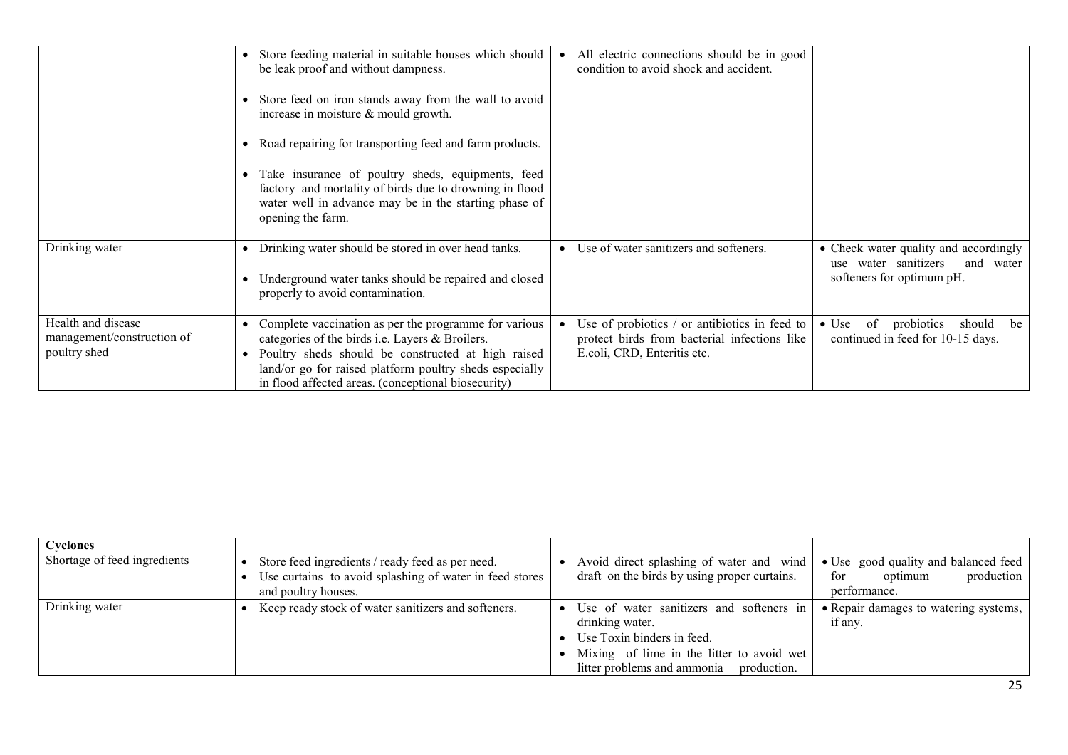|                                                                  | Store feeding material in suitable houses which should<br>be leak proof and without dampness.<br>Store feed on iron stands away from the wall to avoid<br>increase in moisture & mould growth.<br>Road repairing for transporting feed and farm products.<br>Take insurance of poultry sheds, equipments, feed<br>factory and mortality of birds due to drowning in flood<br>water well in advance may be in the starting phase of<br>opening the farm. | All electric connections should be in good<br>condition to avoid shock and accident.                                         |                                                                                                         |
|------------------------------------------------------------------|---------------------------------------------------------------------------------------------------------------------------------------------------------------------------------------------------------------------------------------------------------------------------------------------------------------------------------------------------------------------------------------------------------------------------------------------------------|------------------------------------------------------------------------------------------------------------------------------|---------------------------------------------------------------------------------------------------------|
| Drinking water                                                   | Drinking water should be stored in over head tanks.<br>Underground water tanks should be repaired and closed<br>properly to avoid contamination.                                                                                                                                                                                                                                                                                                        | Use of water sanitizers and softeners.<br>٠                                                                                  | • Check water quality and accordingly<br>use water sanitizers<br>and water<br>softeners for optimum pH. |
| Health and disease<br>management/construction of<br>poultry shed | Complete vaccination as per the programme for various<br>categories of the birds i.e. Layers & Broilers.<br>Poultry sheds should be constructed at high raised<br>land/or go for raised platform poultry sheds especially<br>in flood affected areas. (conceptional biosecurity)                                                                                                                                                                        | Use of probiotics / or antibiotics in feed to<br>protect birds from bacterial infections like<br>E.coli, CRD, Enteritis etc. | probiotics<br>$\bullet$ Use<br>of<br>should<br>be<br>continued in feed for 10-15 days.                  |

| <b>Cyclones</b>              |                                                         |                                              |                                       |
|------------------------------|---------------------------------------------------------|----------------------------------------------|---------------------------------------|
| Shortage of feed ingredients | Store feed ingredients / ready feed as per need.        | Avoid direct splashing of water and wind     | • Use good quality and balanced feed  |
|                              | Use curtains to avoid splashing of water in feed stores | draft on the birds by using proper curtains. | for<br>production<br>optimum          |
|                              | and poultry houses.                                     |                                              | performance.                          |
| Drinking water               | Keep ready stock of water sanitizers and softeners.     | Use of water sanitizers and softeners in     | • Repair damages to watering systems, |
|                              |                                                         | drinking water.                              | if any.                               |
|                              |                                                         | Use Toxin binders in feed.                   |                                       |
|                              |                                                         | Mixing of lime in the litter to avoid wet    |                                       |
|                              |                                                         | litter problems and ammonia<br>production.   |                                       |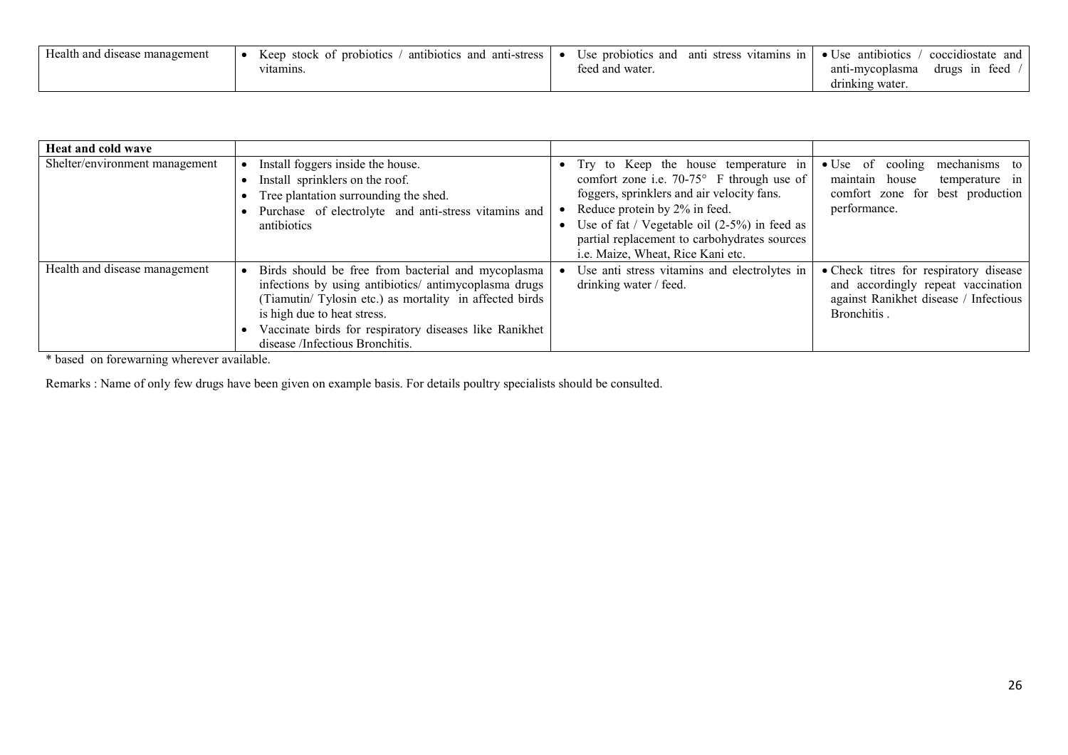| Health and disease management | stock<br>Keep<br>antibiotics<br>and<br>anti-stress<br>of probiotics of<br>vitamins. | Use probiotics<br>and<br>antı<br>stress<br>teed and water. | $\cdot$ $\cdot$<br>coccidiostate<br>antibiotics<br>vitamins<br>and<br>$\bullet$ Use<br>ın<br>teed<br>drugs<br>ın<br>anti-mycoplasma |
|-------------------------------|-------------------------------------------------------------------------------------|------------------------------------------------------------|-------------------------------------------------------------------------------------------------------------------------------------|
|                               |                                                                                     |                                                            | drinking water.                                                                                                                     |

| <b>Heat and cold wave</b>      |                                                                                                                                                                                                                                                                                                   |                                                                                                                                                                                                                                                                                                                                |                                                                                                                                      |
|--------------------------------|---------------------------------------------------------------------------------------------------------------------------------------------------------------------------------------------------------------------------------------------------------------------------------------------------|--------------------------------------------------------------------------------------------------------------------------------------------------------------------------------------------------------------------------------------------------------------------------------------------------------------------------------|--------------------------------------------------------------------------------------------------------------------------------------|
| Shelter/environment management | Install foggers inside the house.<br>Install sprinklers on the roof.<br>Tree plantation surrounding the shed.<br>Purchase of electrolyte and anti-stress vitamins and<br>antibiotics                                                                                                              | Try to Keep the house temperature in<br>$\bullet$<br>comfort zone i.e. $70-75^{\circ}$ F through use of<br>foggers, sprinklers and air velocity fans.<br>Reduce protein by 2% in feed.<br>Use of fat / Vegetable oil $(2-5\%)$ in feed as<br>partial replacement to carbohydrates sources<br>i.e. Maize, Wheat, Rice Kani etc. | $\bullet$ Use of cooling mechanisms to<br>maintain house<br>temperature in<br>comfort zone for best production<br>performance.       |
| Health and disease management  | Birds should be free from bacterial and mycoplasma<br>infections by using antibiotics/ antimycoplasma drugs<br>Tiamutin/ Tylosin etc.) as mortality in affected birds<br>is high due to heat stress.<br>Vaccinate birds for respiratory diseases like Ranikhet<br>disease /Infectious Bronchitis. | Use anti stress vitamins and electrolytes in<br>drinking water / feed.                                                                                                                                                                                                                                                         | • Check titres for respiratory disease<br>and accordingly repeat vaccination<br>against Ranikhet disease / Infectious<br>Bronchitis. |

\* based on forewarning wherever available.

Remarks : Name of only few drugs have been given on example basis. For details poultry specialists should be consulted.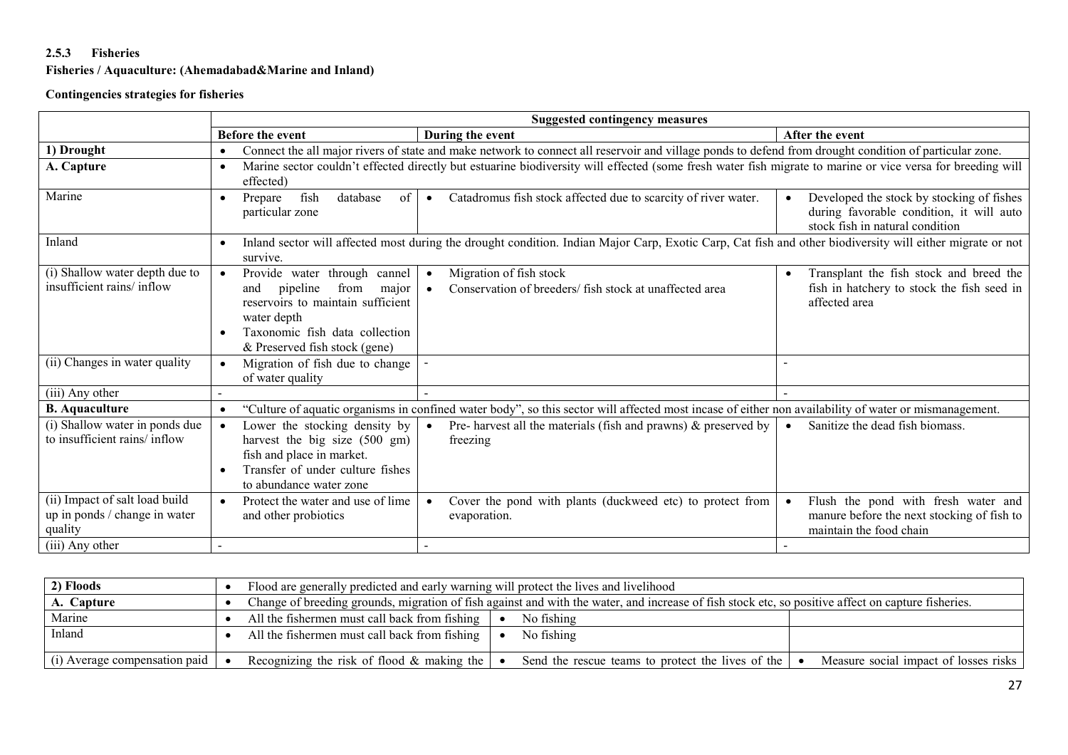## 2.5.3 Fisheries

## Fisheries / Aquaculture: (Ahemadabad&Marine and Inland)

## Contingencies strategies for fisheries

|                                                                            | <b>Suggested contingency measures</b>                                                                                                                                                                             |                                                                                                                                                            |                                                                                                                                       |  |  |
|----------------------------------------------------------------------------|-------------------------------------------------------------------------------------------------------------------------------------------------------------------------------------------------------------------|------------------------------------------------------------------------------------------------------------------------------------------------------------|---------------------------------------------------------------------------------------------------------------------------------------|--|--|
|                                                                            | <b>Before the event</b>                                                                                                                                                                                           | During the event                                                                                                                                           | After the event                                                                                                                       |  |  |
| 1) Drought                                                                 |                                                                                                                                                                                                                   | Connect the all major rivers of state and make network to connect all reservoir and village ponds to defend from drought condition of particular zone.     |                                                                                                                                       |  |  |
| A. Capture                                                                 | $\bullet$<br>effected)                                                                                                                                                                                            | Marine sector couldn't effected directly but estuarine biodiversity will effected (some fresh water fish migrate to marine or vice versa for breeding will |                                                                                                                                       |  |  |
| Marine                                                                     | fish<br>database<br>$\sigma$<br>Prepare<br>$\bullet$<br>particular zone                                                                                                                                           | Catadromus fish stock affected due to scarcity of river water.<br>$\bullet$                                                                                | Developed the stock by stocking of fishes<br>$\bullet$<br>during favorable condition, it will auto<br>stock fish in natural condition |  |  |
| Inland                                                                     | $\bullet$<br>survive.                                                                                                                                                                                             | Inland sector will affected most during the drought condition. Indian Major Carp, Exotic Carp, Cat fish and other biodiversity will either migrate or not  |                                                                                                                                       |  |  |
| (i) Shallow water depth due to<br>insufficient rains/inflow                | Provide water through cannel<br>$\bullet$<br>from<br>pipeline<br>and<br>major<br>reservoirs to maintain sufficient<br>water depth<br>Taxonomic fish data collection<br>$\bullet$<br>& Preserved fish stock (gene) | Migration of fish stock<br>$\bullet$<br>Conservation of breeders/ fish stock at unaffected area<br>$\bullet$                                               | Transplant the fish stock and breed the<br>$\bullet$<br>fish in hatchery to stock the fish seed in<br>affected area                   |  |  |
| (ii) Changes in water quality                                              | Migration of fish due to change<br>$\bullet$<br>of water quality                                                                                                                                                  |                                                                                                                                                            |                                                                                                                                       |  |  |
| (iii) Any other                                                            |                                                                                                                                                                                                                   |                                                                                                                                                            |                                                                                                                                       |  |  |
| <b>B.</b> Aquaculture                                                      | $\bullet$                                                                                                                                                                                                         | "Culture of aquatic organisms in confined water body", so this sector will affected most incase of either non availability of water or mismanagement.      |                                                                                                                                       |  |  |
| (i) Shallow water in ponds due<br>to insufficient rains/ inflow            | Lower the stocking density by<br>$\bullet$<br>harvest the big size (500 gm)<br>fish and place in market.<br>Transfer of under culture fishes<br>to abundance water zone                                           | Pre- harvest all the materials (fish and prawns) $\&$ preserved by<br>$\bullet$<br>freezing                                                                | Sanitize the dead fish biomass.                                                                                                       |  |  |
| (ii) Impact of salt load build<br>up in ponds / change in water<br>quality | Protect the water and use of lime<br>$\bullet$<br>and other probiotics                                                                                                                                            | Cover the pond with plants (duckweed etc) to protect from<br>$\bullet$<br>evaporation.                                                                     | Flush the pond with fresh water and<br>$\bullet$<br>manure before the next stocking of fish to<br>maintain the food chain             |  |  |
| (iii) Any other                                                            |                                                                                                                                                                                                                   |                                                                                                                                                            |                                                                                                                                       |  |  |

| 2) Floods                     | Flood are generally predicted and early warning will protect the lives and livelihood                                                                             |  |  |
|-------------------------------|-------------------------------------------------------------------------------------------------------------------------------------------------------------------|--|--|
| A. Capture                    | Change of breeding grounds, migration of fish against and with the water, and increase of fish stock etc, so positive affect on capture fisheries.                |  |  |
| Marine                        | All the fishermen must call back from fishing<br>No fishing                                                                                                       |  |  |
| Inland                        | All the fishermen must call back from fishing  <br>No fishing                                                                                                     |  |  |
| (i) Average compensation paid | Recognizing the risk of flood $\&$ making the<br>Measure social impact of losses risks<br>Send the rescue teams to protect the lives of the $\vert \bullet \vert$ |  |  |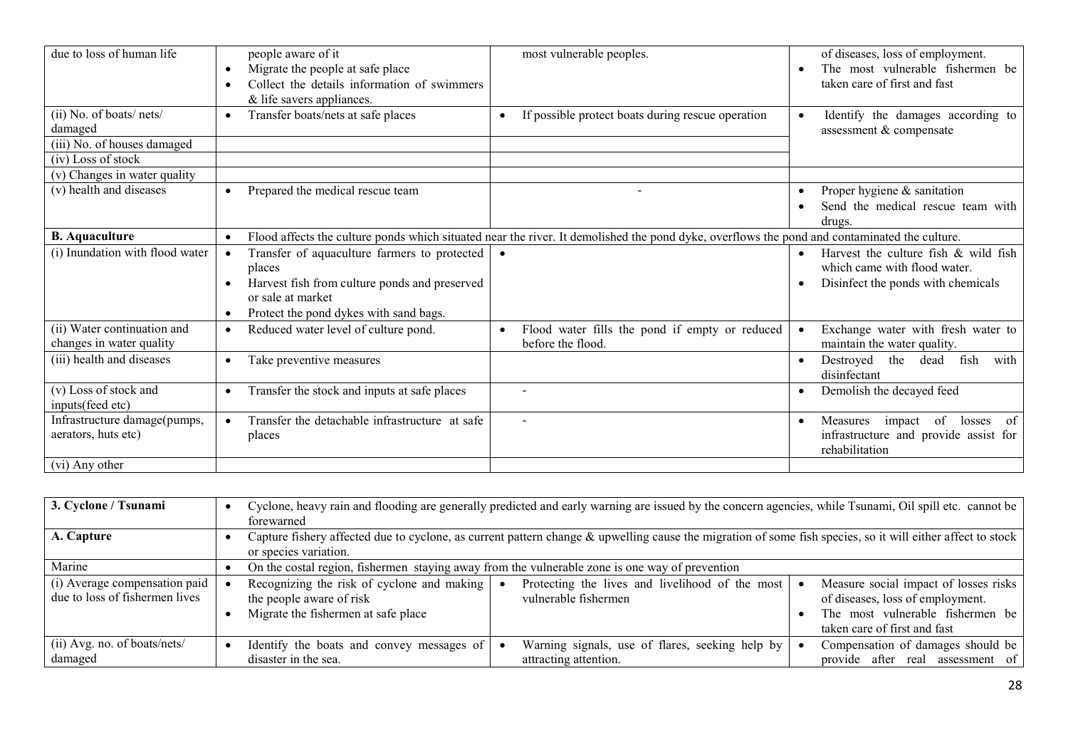| due to loss of human life                               | people aware of it<br>Migrate the people at safe place<br>$\bullet$<br>Collect the details information of swimmers<br>& life savers appliances.                                                  | most vulnerable peoples.                                                                                                                     | of diseases, loss of employment.<br>The most vulnerable fishermen be<br>taken care of first and fast               |
|---------------------------------------------------------|--------------------------------------------------------------------------------------------------------------------------------------------------------------------------------------------------|----------------------------------------------------------------------------------------------------------------------------------------------|--------------------------------------------------------------------------------------------------------------------|
| (ii) No. of boats/nets/<br>damaged                      | Transfer boats/nets at safe places<br>$\bullet$                                                                                                                                                  | If possible protect boats during rescue operation<br>$\bullet$                                                                               | Identify the damages according to<br>assessment & compensate                                                       |
| (iii) No. of houses damaged                             |                                                                                                                                                                                                  |                                                                                                                                              |                                                                                                                    |
| (iv) Loss of stock                                      |                                                                                                                                                                                                  |                                                                                                                                              |                                                                                                                    |
| (v) Changes in water quality                            |                                                                                                                                                                                                  |                                                                                                                                              |                                                                                                                    |
| (v) health and diseases                                 | Prepared the medical rescue team<br>$\bullet$                                                                                                                                                    | $\blacksquare$                                                                                                                               | Proper hygiene & sanitation<br>Send the medical rescue team with<br>drugs.                                         |
| <b>B.</b> Aquaculture                                   |                                                                                                                                                                                                  | Flood affects the culture ponds which situated near the river. It demolished the pond dyke, overflows the pond and contaminated the culture. |                                                                                                                    |
| (i) Inundation with flood water                         | Transfer of aquaculture farmers to protected<br>$\bullet$<br>places<br>Harvest fish from culture ponds and preserved<br>or sale at market<br>Protect the pond dykes with sand bags.<br>$\bullet$ |                                                                                                                                              | Harvest the culture fish & wild fish<br>which came with flood water.<br>Disinfect the ponds with chemicals<br>٠    |
| (ii) Water continuation and<br>changes in water quality | Reduced water level of culture pond.<br>$\bullet$                                                                                                                                                | Flood water fills the pond if empty or reduced<br>$\bullet$<br>before the flood.                                                             | Exchange water with fresh water to<br>maintain the water quality.                                                  |
| (iii) health and diseases                               | Take preventive measures                                                                                                                                                                         |                                                                                                                                              | fish<br>Destroyed<br>the<br>with<br>dead<br>disinfectant                                                           |
| (v) Loss of stock and<br>inputs(feed etc)               | Transfer the stock and inputs at safe places<br>$\bullet$                                                                                                                                        |                                                                                                                                              | Demolish the decayed feed                                                                                          |
| Infrastructure damage(pumps,<br>aerators, huts etc)     | Transfer the detachable infrastructure at safe<br>$\bullet$<br>places                                                                                                                            | $\blacksquare$                                                                                                                               | of<br>- of<br>Measures<br>impact<br>losses<br>$\bullet$<br>infrastructure and provide assist for<br>rehabilitation |
| (vi) Any other                                          |                                                                                                                                                                                                  |                                                                                                                                              |                                                                                                                    |

| 3. Cyclone / Tsunami                                            | forewarned                                                                                                                                                                          | Cyclone, heavy rain and flooding are generally predicted and early warning are issued by the concern agencies, while Tsunami, Oil spill etc. cannot be |                                                                                                                                               |
|-----------------------------------------------------------------|-------------------------------------------------------------------------------------------------------------------------------------------------------------------------------------|--------------------------------------------------------------------------------------------------------------------------------------------------------|-----------------------------------------------------------------------------------------------------------------------------------------------|
| A. Capture                                                      | Capture fishery affected due to cyclone, as current pattern change & upwelling cause the migration of some fish species, so it will either affect to stock<br>or species variation. |                                                                                                                                                        |                                                                                                                                               |
| Marine                                                          | On the costal region, fishermen staying away from the vulnerable zone is one way of prevention                                                                                      |                                                                                                                                                        |                                                                                                                                               |
| (i) Average compensation paid<br>due to loss of fishermen lives | Recognizing the risk of cyclone and making<br>the people aware of risk<br>Migrate the fishermen at safe place                                                                       | Protecting the lives and livelihood of the most<br>vulnerable fishermen                                                                                | Measure social impact of losses risks<br>of diseases, loss of employment.<br>The most vulnerable fishermen be<br>taken care of first and fast |
| $(ii)$ Avg. no. of boats/nets/<br>damaged                       | Identify the boats and convey messages of<br>disaster in the sea.                                                                                                                   | Warning signals, use of flares, seeking help by<br>attracting attention.                                                                               | Compensation of damages should be<br>provide after real assessment of                                                                         |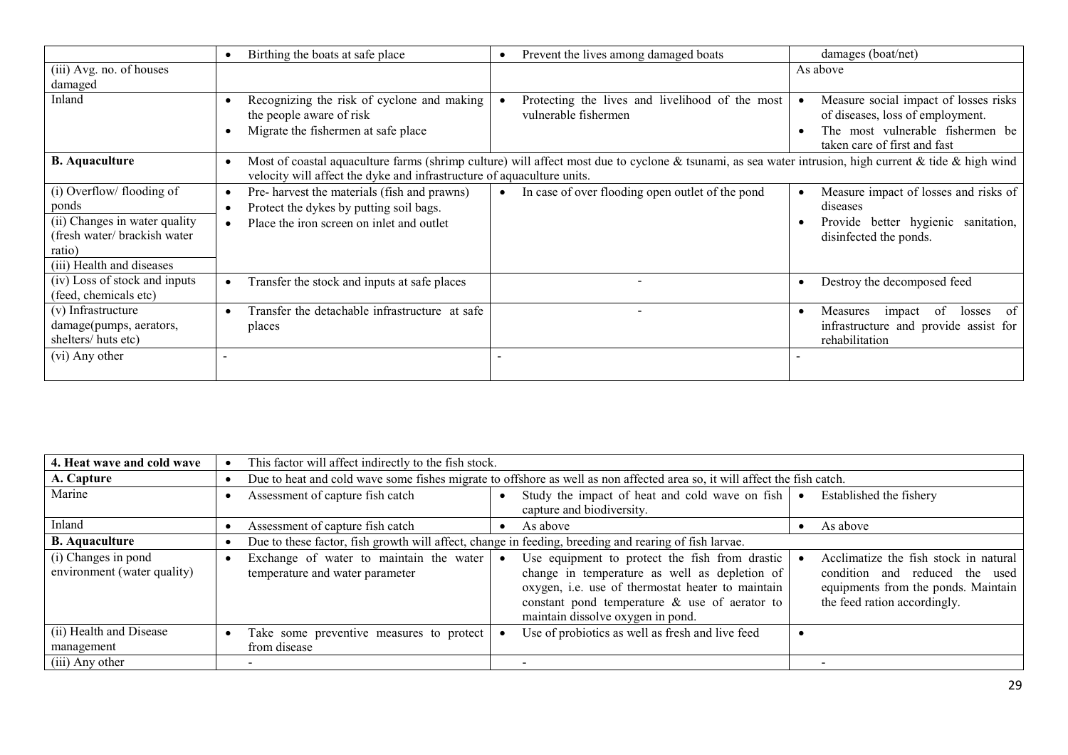|                                                                                                                                            | Birthing the boats at safe place                                                                                                                                                                                                | Prevent the lives among damaged boats                                   | damages (boat/net)                                                                                                                            |  |
|--------------------------------------------------------------------------------------------------------------------------------------------|---------------------------------------------------------------------------------------------------------------------------------------------------------------------------------------------------------------------------------|-------------------------------------------------------------------------|-----------------------------------------------------------------------------------------------------------------------------------------------|--|
| (iii) Avg. no. of houses<br>damaged                                                                                                        |                                                                                                                                                                                                                                 |                                                                         | As above                                                                                                                                      |  |
| Inland                                                                                                                                     | Recognizing the risk of cyclone and making<br>the people aware of risk<br>Migrate the fishermen at safe place                                                                                                                   | Protecting the lives and livelihood of the most<br>vulnerable fishermen | Measure social impact of losses risks<br>of diseases, loss of employment.<br>The most vulnerable fishermen be<br>taken care of first and fast |  |
| <b>B.</b> Aquaculture                                                                                                                      | Most of coastal aquaculture farms (shrimp culture) will affect most due to cyclone & tsunami, as sea water intrusion, high current & tide & high wind<br>velocity will affect the dyke and infrastructure of aquaculture units. |                                                                         |                                                                                                                                               |  |
| (i) Overflow/ flooding of<br>ponds<br>(ii) Changes in water quality<br>(fresh water/ brackish water<br>ratio)<br>(iii) Health and diseases | Pre- harvest the materials (fish and prawns)<br>٠<br>Protect the dykes by putting soil bags.<br>$\bullet$<br>Place the iron screen on inlet and outlet                                                                          | In case of over flooding open outlet of the pond<br>$\bullet$           | Measure impact of losses and risks of<br>diseases<br>Provide better hygienic sanitation,<br>disinfected the ponds.                            |  |
| (iv) Loss of stock and inputs<br>(feed, chemicals etc)                                                                                     | Transfer the stock and inputs at safe places                                                                                                                                                                                    |                                                                         | Destroy the decomposed feed                                                                                                                   |  |
| (v) Infrastructure<br>damage(pumps, aerators,<br>shelters/huts etc)                                                                        | Transfer the detachable infrastructure at safe<br>$\bullet$<br>places                                                                                                                                                           |                                                                         | of<br>of<br>Measures<br>impact<br>losses<br>infrastructure and provide assist for<br>rehabilitation                                           |  |
| (vi) Any other                                                                                                                             |                                                                                                                                                                                                                                 |                                                                         |                                                                                                                                               |  |

| 4. Heat wave and cold wave                         | This factor will affect indirectly to the fish stock.                                                                     |                                                                                                                                                                                                                                               |                                                                                                                                                |
|----------------------------------------------------|---------------------------------------------------------------------------------------------------------------------------|-----------------------------------------------------------------------------------------------------------------------------------------------------------------------------------------------------------------------------------------------|------------------------------------------------------------------------------------------------------------------------------------------------|
| A. Capture                                         | Due to heat and cold wave some fishes migrate to offshore as well as non affected area so, it will affect the fish catch. |                                                                                                                                                                                                                                               |                                                                                                                                                |
| Marine                                             | Assessment of capture fish catch                                                                                          | Study the impact of heat and cold wave on fish $\vert \bullet \vert$<br>capture and biodiversity.                                                                                                                                             | Established the fishery                                                                                                                        |
| Inland                                             | Assessment of capture fish catch                                                                                          | As above                                                                                                                                                                                                                                      | As above                                                                                                                                       |
| <b>B.</b> Aquaculture                              | Due to these factor, fish growth will affect, change in feeding, breeding and rearing of fish larvae.                     |                                                                                                                                                                                                                                               |                                                                                                                                                |
| (i) Changes in pond<br>environment (water quality) | Exchange of water to maintain the water<br>temperature and water parameter                                                | Use equipment to protect the fish from drastic<br>change in temperature as well as depletion of<br>oxygen, i.e. use of thermostat heater to maintain<br>constant pond temperature $\&$ use of aerator to<br>maintain dissolve oxygen in pond. | Acclimatize the fish stock in natural<br>condition and reduced the used<br>equipments from the ponds. Maintain<br>the feed ration accordingly. |
| (ii) Health and Disease<br>management              | Take some preventive measures to protect<br>from disease                                                                  | Use of probiotics as well as fresh and live feed                                                                                                                                                                                              |                                                                                                                                                |
| (iii) Any other                                    |                                                                                                                           |                                                                                                                                                                                                                                               |                                                                                                                                                |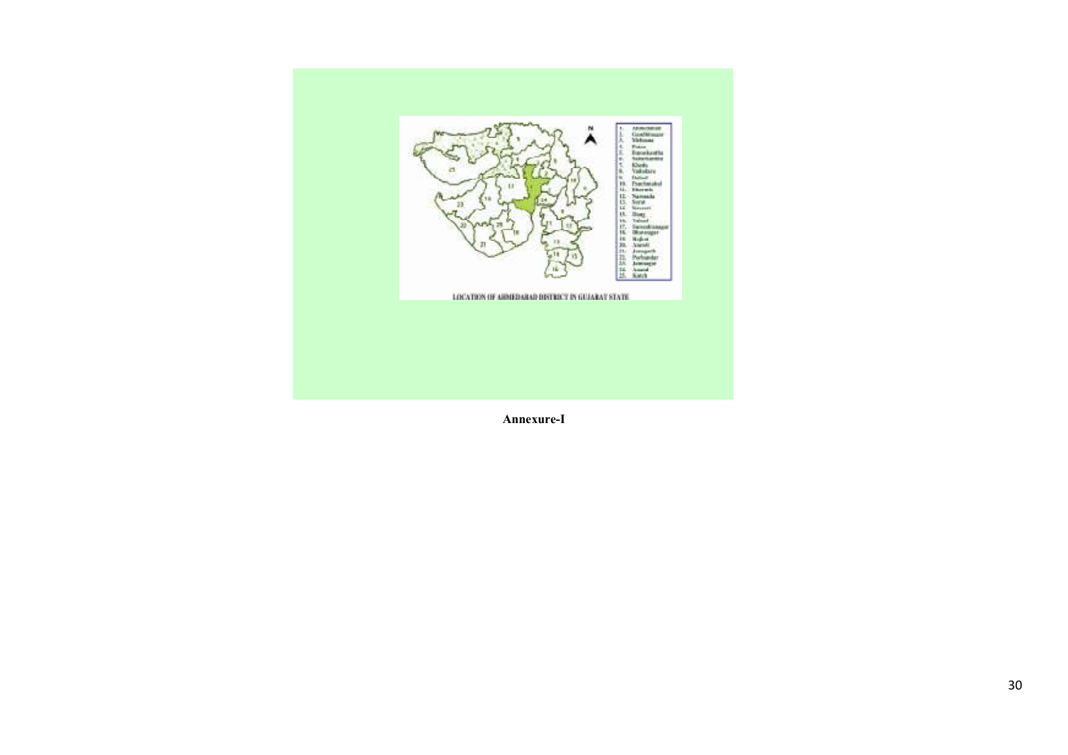

Annexure-I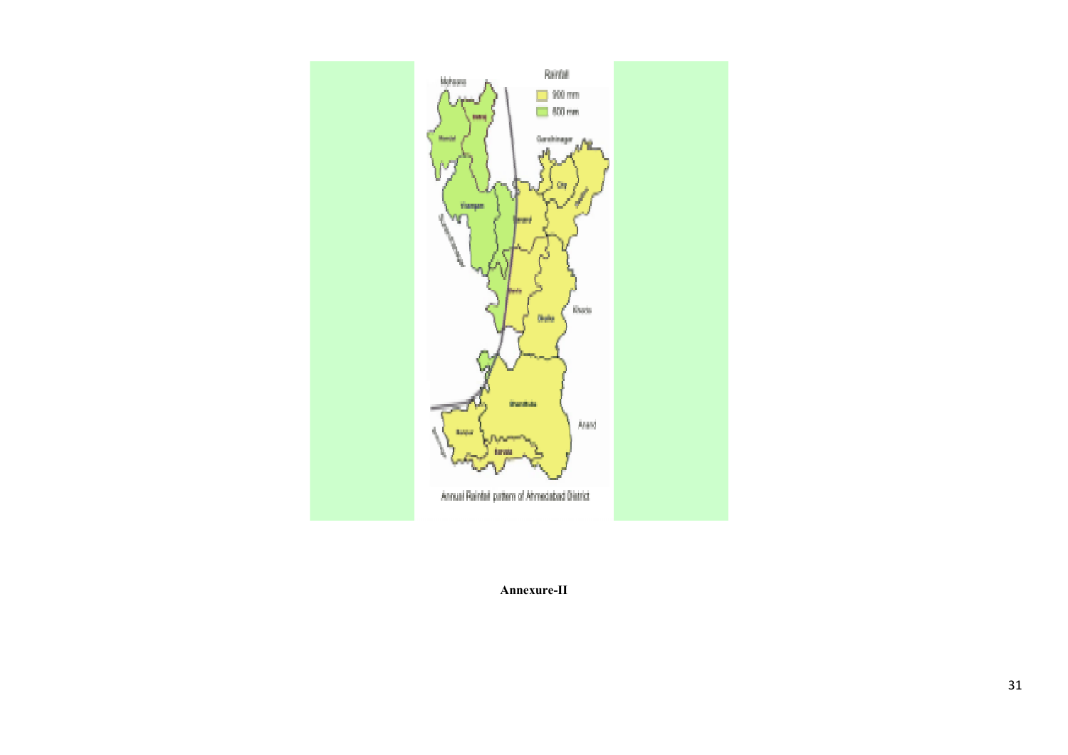

Annexure-II